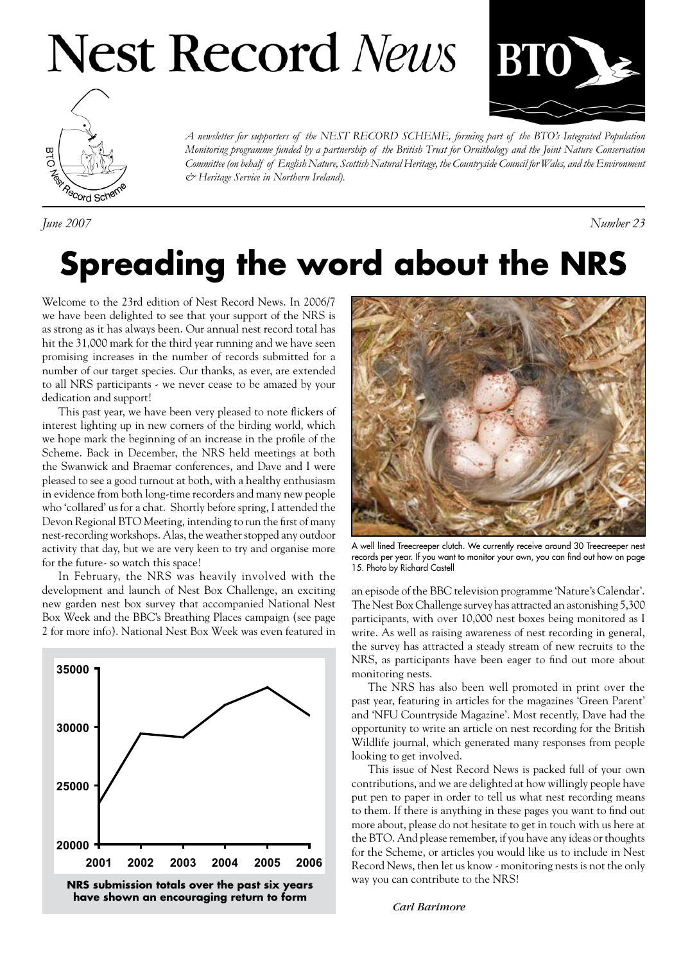# **Nest Record News**





*A newsletter for supporters of the NEST RECORD SCHEME, forming part of the BTO's Integrated Population Monitoring programme funded by a partnership of the British Trust for Ornithology and the Joint Nature Conservation Committee (on behalf of English Nature, Scottish Natural Heritage, the Countryside Council for Wales, and the Environment & Heritage Service in Northern Ireland).*

*June 2007 Number 23*

### **Spreading the word about the NRS**

Welcome to the 23rd edition of Nest Record News. In 2006/7 we have been delighted to see that your support of the NRS is as strong as it has always been. Our annual nest record total has hit the 31,000 mark for the third year running and we have seen promising increases in the number of records submitted for a number of our target species. Our thanks, as ever, are extended to all NRS participants - we never cease to be amazed by your dedication and support!

This past year, we have been very pleased to note flickers of interest lighting up in new corners of the birding world, which we hope mark the beginning of an increase in the profile of the Scheme. Back in December, the NRS held meetings at both the Swanwick and Braemar conferences, and Dave and I were pleased to see a good turnout at both, with a healthy enthusiasm in evidence from both long-time recorders and many new people who 'collared' us for a chat. Shortly before spring, I attended the Devon Regional BTO Meeting, intending to run the first of many nest-recording workshops. Alas, the weather stopped any outdoor activity that day, but we are very keen to try and organise more for the future- so watch this space!

In February, the NRS was heavily involved with the development and launch of Nest Box Challenge, an exciting new garden nest box survey that accompanied National Nest Box Week and the BBC's Breathing Places campaign (see page 2 for more info). National Nest Box Week was even featured in



**have shown an encouraging return to form**



A well lined Treecreeper clutch. We currently receive around 30 Treecreeper nest records per year. If you want to monitor your own, you can find out how on page 15. Photo by Richard Castell

an episode of the BBC television programme 'Nature's Calendar'. The Nest Box Challenge survey has attracted an astonishing 5,300 participants, with over 10,000 nest boxes being monitored as I write. As well as raising awareness of nest recording in general, the survey has attracted a steady stream of new recruits to the NRS, as participants have been eager to find out more about monitoring nests.

The NRS has also been well promoted in print over the past year, featuring in articles for the magazines 'Green Parent' and 'NFU Countryside Magazine'. Most recently, Dave had the opportunity to write an article on nest recording for the British Wildlife journal, which generated many responses from people looking to get involved.

This issue of Nest Record News is packed full of your own contributions, and we are delighted at how willingly people have put pen to paper in order to tell us what nest recording means to them. If there is anything in these pages you want to find out more about, please do not hesitate to get in touch with us here at the BTO. And please remember, if you have any ideas or thoughts for the Scheme, or articles you would like us to include in Nest Record News, then let us know - monitoring nests is not the only way you can contribute to the NRS!

 *Carl Barimore*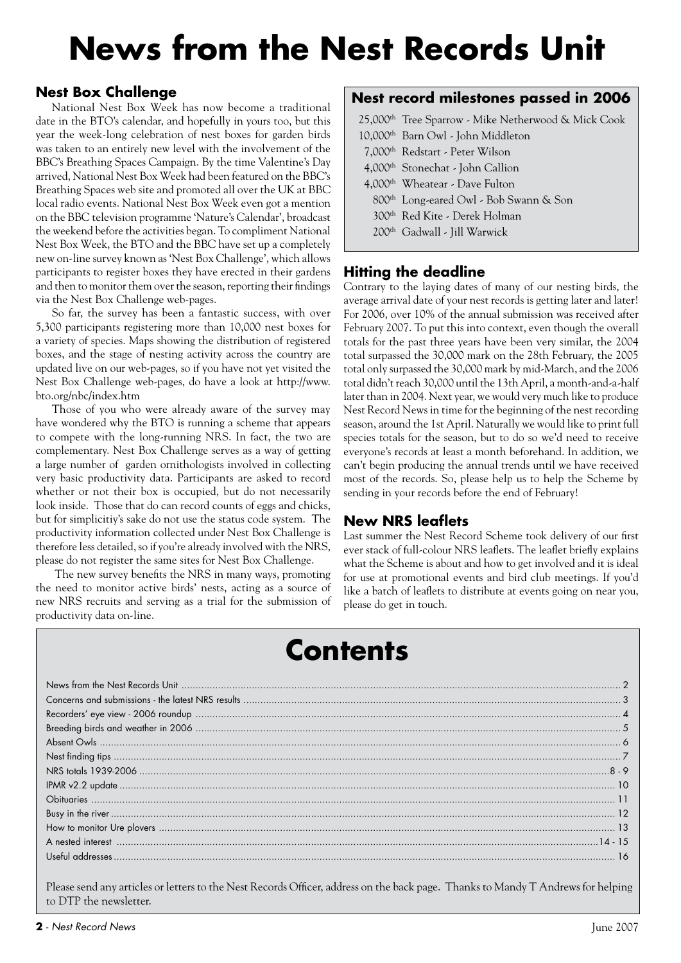# **News from the Nest Records Unit**

#### **Nest Box Challenge**

National Nest Box Week has now become a traditional date in the BTO's calendar, and hopefully in yours too, but this year the week-long celebration of nest boxes for garden birds was taken to an entirely new level with the involvement of the BBC's Breathing Spaces Campaign. By the time Valentine's Day arrived, National Nest Box Week had been featured on the BBC's Breathing Spaces web site and promoted all over the UK at BBC local radio events. National Nest Box Week even got a mention on the BBC television programme 'Nature's Calendar', broadcast the weekend before the activities began. To compliment National Nest Box Week, the BTO and the BBC have set up a completely new on-line survey known as 'Nest Box Challenge', which allows participants to register boxes they have erected in their gardens and then to monitor them over the season, reporting their findings via the Nest Box Challenge web-pages.

So far, the survey has been a fantastic success, with over 5,300 participants registering more than 10,000 nest boxes for a variety of species. Maps showing the distribution of registered boxes, and the stage of nesting activity across the country are updated live on our web-pages, so if you have not yet visited the Nest Box Challenge web-pages, do have a look at http://www. bto.org/nbc/index.htm

Those of you who were already aware of the survey may have wondered why the BTO is running a scheme that appears to compete with the long-running NRS. In fact, the two are complementary. Nest Box Challenge serves as a way of getting a large number of garden ornithologists involved in collecting very basic productivity data. Participants are asked to record whether or not their box is occupied, but do not necessarily look inside. Those that do can record counts of eggs and chicks, but for simplicitiy's sake do not use the status code system. The productivity information collected under Nest Box Challenge is therefore less detailed, so if you're already involved with the NRS, please do not register the same sites for Nest Box Challenge.

 The new survey benefits the NRS in many ways, promoting the need to monitor active birds' nests, acting as a source of new NRS recruits and serving as a trial for the submission of productivity data on-line.

#### **Nest record milestones passed in 2006**

25,000th Tree Sparrow - Mike Netherwood & Mick Cook

- 10,000th Barn Owl John Middleton
- 7,000th Redstart Peter Wilson
- 4,000th Stonechat John Callion
- 4,000th Wheatear Dave Fulton
- 800th Long-eared Owl Bob Swann & Son
- 300th Red Kite Derek Holman
- 200th Gadwall Jill Warwick

#### **Hitting the deadline**

Contrary to the laying dates of many of our nesting birds, the average arrival date of your nest records is getting later and later! For 2006, over 10% of the annual submission was received after February 2007. To put this into context, even though the overall totals for the past three years have been very similar, the 2004 total surpassed the 30,000 mark on the 28th February, the 2005 total only surpassed the 30,000 mark by mid-March, and the 2006 total didn't reach 30,000 until the 13th April, a month-and-a-half later than in 2004. Next year, we would very much like to produce Nest Record News in time for the beginning of the nest recording season, around the 1st April. Naturally we would like to print full species totals for the season, but to do so we'd need to receive everyone's records at least a month beforehand. In addition, we can't begin producing the annual trends until we have received most of the records. So, please help us to help the Scheme by sending in your records before the end of February!

#### **New NRS leaflets**

Last summer the Nest Record Scheme took delivery of our first ever stack of full-colour NRS leaflets. The leaflet briefly explains what the Scheme is about and how to get involved and it is ideal for use at promotional events and bird club meetings. If you'd like a batch of leaflets to distribute at events going on near you, please do get in touch.

### **Contents**

Please send any articles or letters to the Nest Records Officer, address on the back page. Thanks to Mandy T Andrews for helping to DTP the newsletter.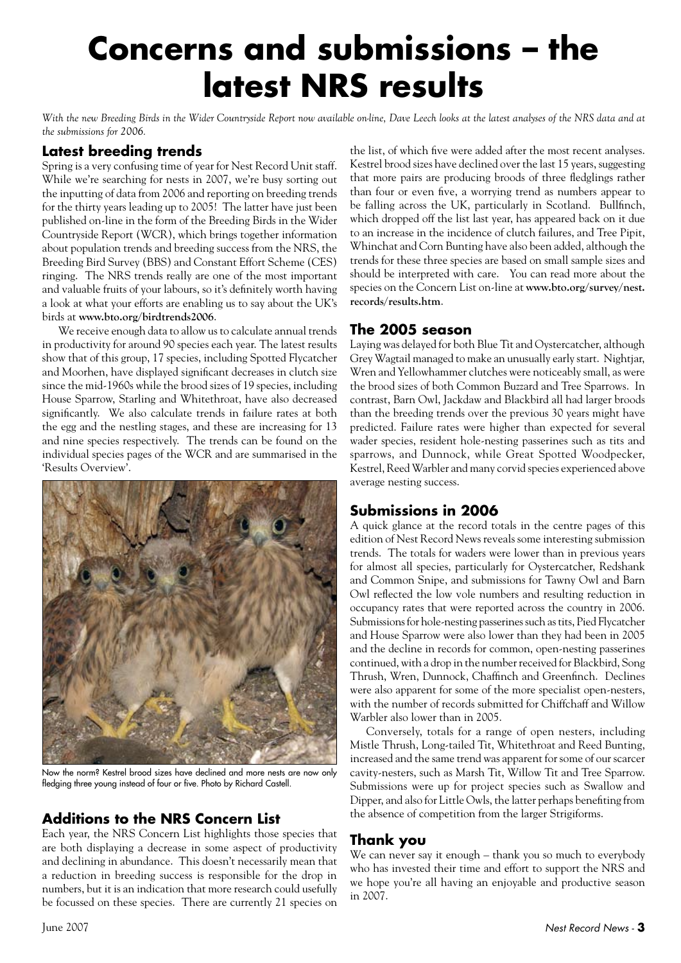### **Concerns and submissions – the latest NRS results**

With the new Breeding Birds in the Wider Countryside Report now available on-line, Dave Leech looks at the latest analyses of the NRS data and at *the submissions for 2006.*

#### **Latest breeding trends**

Spring is a very confusing time of year for Nest Record Unit staff. While we're searching for nests in 2007, we're busy sorting out the inputting of data from 2006 and reporting on breeding trends for the thirty years leading up to 2005! The latter have just been published on-line in the form of the Breeding Birds in the Wider Countryside Report (WCR), which brings together information about population trends and breeding success from the NRS, the Breeding Bird Survey (BBS) and Constant Effort Scheme (CES) ringing. The NRS trends really are one of the most important and valuable fruits of your labours, so it's definitely worth having a look at what your efforts are enabling us to say about the UK's birds at **www.bto.org/birdtrends2006**.

We receive enough data to allow us to calculate annual trends in productivity for around 90 species each year. The latest results show that of this group, 17 species, including Spotted Flycatcher and Moorhen, have displayed significant decreases in clutch size since the mid-1960s while the brood sizes of 19 species, including House Sparrow, Starling and Whitethroat, have also decreased significantly. We also calculate trends in failure rates at both the egg and the nestling stages, and these are increasing for 13 and nine species respectively. The trends can be found on the individual species pages of the WCR and are summarised in the 'Results Overview'.



Now the norm? Kestrel brood sizes have declined and more nests are now only fledging three young instead of four or five. Photo by Richard Castell.

#### **Additions to the NRS Concern List**

Each year, the NRS Concern List highlights those species that are both displaying a decrease in some aspect of productivity and declining in abundance. This doesn't necessarily mean that a reduction in breeding success is responsible for the drop in numbers, but it is an indication that more research could usefully be focussed on these species. There are currently 21 species on

the list, of which five were added after the most recent analyses. Kestrel brood sizes have declined over the last 15 years, suggesting that more pairs are producing broods of three fledglings rather than four or even five, a worrying trend as numbers appear to be falling across the UK, particularly in Scotland. Bullfinch, which dropped off the list last year, has appeared back on it due to an increase in the incidence of clutch failures, and Tree Pipit, Whinchat and Corn Bunting have also been added, although the trends for these three species are based on small sample sizes and should be interpreted with care. You can read more about the species on the Concern List on-line at **www.bto.org/survey/nest. records/results.htm**.

#### **The 2005 season**

Laying was delayed for both Blue Tit and Oystercatcher, although Grey Wagtail managed to make an unusually early start. Nightjar, Wren and Yellowhammer clutches were noticeably small, as were the brood sizes of both Common Buzzard and Tree Sparrows. In contrast, Barn Owl, Jackdaw and Blackbird all had larger broods than the breeding trends over the previous 30 years might have predicted. Failure rates were higher than expected for several wader species, resident hole-nesting passerines such as tits and sparrows, and Dunnock, while Great Spotted Woodpecker, Kestrel, Reed Warbler and many corvid species experienced above average nesting success.

#### **Submissions in 2006**

A quick glance at the record totals in the centre pages of this edition of Nest Record News reveals some interesting submission trends. The totals for waders were lower than in previous years for almost all species, particularly for Oystercatcher, Redshank and Common Snipe, and submissions for Tawny Owl and Barn Owl reflected the low vole numbers and resulting reduction in occupancy rates that were reported across the country in 2006. Submissions for hole-nesting passerines such as tits, Pied Flycatcher and House Sparrow were also lower than they had been in 2005 and the decline in records for common, open-nesting passerines continued, with a drop in the number received for Blackbird, Song Thrush, Wren, Dunnock, Chaffinch and Greenfinch. Declines were also apparent for some of the more specialist open-nesters, with the number of records submitted for Chiffchaff and Willow Warbler also lower than in 2005.

Conversely, totals for a range of open nesters, including Mistle Thrush, Long-tailed Tit, Whitethroat and Reed Bunting, increased and the same trend was apparent for some of our scarcer cavity-nesters, such as Marsh Tit, Willow Tit and Tree Sparrow. Submissions were up for project species such as Swallow and Dipper, and also for Little Owls, the latter perhaps benefiting from the absence of competition from the larger Strigiforms.

#### **Thank you**

We can never say it enough – thank you so much to everybody who has invested their time and effort to support the NRS and we hope you're all having an enjoyable and productive season in 2007.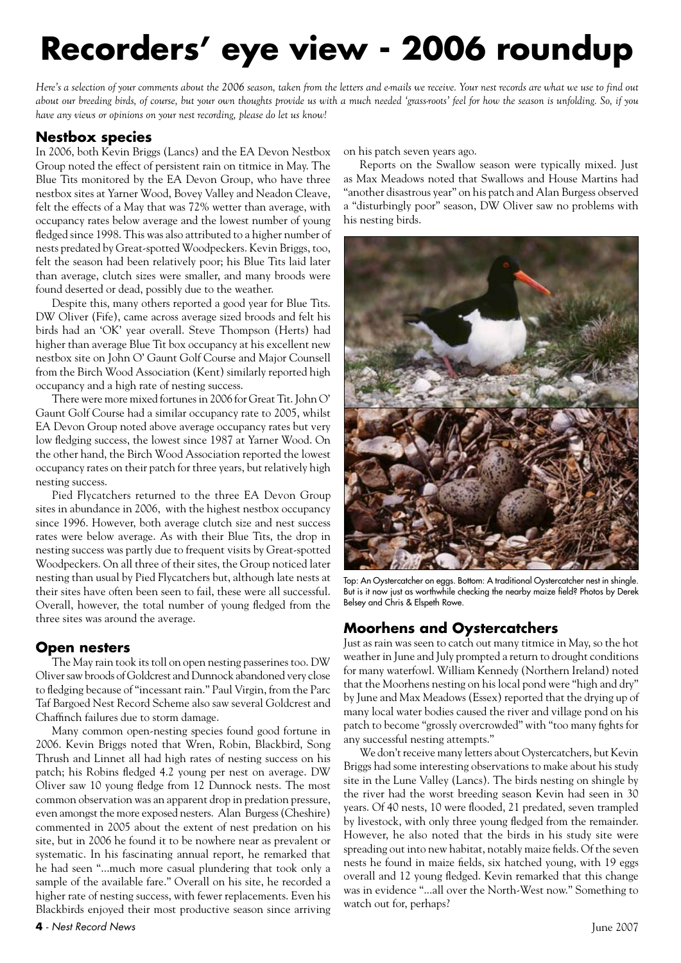# **Recorders' eye view - 2006 roundup**

*Here's a selection of your comments about the 2006 season, taken from the letters and e-mails we receive. Your nest records are what we use to find out about our breeding birds, of course, but your own thoughts provide us with a much needed 'grass-roots' feel for how the season is unfolding. So, if you have any views or opinions on your nest recording, please do let us know!*

#### **Nestbox species**

In 2006, both Kevin Briggs (Lancs) and the EA Devon Nestbox Group noted the effect of persistent rain on titmice in May. The Blue Tits monitored by the EA Devon Group, who have three nestbox sites at Yarner Wood, Bovey Valley and Neadon Cleave, felt the effects of a May that was 72% wetter than average, with occupancy rates below average and the lowest number of young fledged since 1998. This was also attributed to a higher number of nests predated by Great-spotted Woodpeckers. Kevin Briggs, too, felt the season had been relatively poor; his Blue Tits laid later than average, clutch sizes were smaller, and many broods were found deserted or dead, possibly due to the weather.

Despite this, many others reported a good year for Blue Tits. DW Oliver (Fife), came across average sized broods and felt his birds had an 'OK' year overall. Steve Thompson (Herts) had higher than average Blue Tit box occupancy at his excellent new nestbox site on John O' Gaunt Golf Course and Major Counsell from the Birch Wood Association (Kent) similarly reported high occupancy and a high rate of nesting success.

There were more mixed fortunes in 2006 for Great Tit. John O' Gaunt Golf Course had a similar occupancy rate to 2005, whilst EA Devon Group noted above average occupancy rates but very low fledging success, the lowest since 1987 at Yarner Wood. On the other hand, the Birch Wood Association reported the lowest occupancy rates on their patch for three years, but relatively high nesting success.

Pied Flycatchers returned to the three EA Devon Group sites in abundance in 2006, with the highest nestbox occupancy since 1996. However, both average clutch size and nest success rates were below average. As with their Blue Tits, the drop in nesting success was partly due to frequent visits by Great-spotted Woodpeckers. On all three of their sites, the Group noticed later nesting than usual by Pied Flycatchers but, although late nests at their sites have often been seen to fail, these were all successful. Overall, however, the total number of young fledged from the three sites was around the average.

#### **Open nesters**

The May rain took its toll on open nesting passerines too. DW Oliver saw broods of Goldcrest and Dunnock abandoned very close to fledging because of "incessant rain." Paul Virgin, from the Parc Taf Bargoed Nest Record Scheme also saw several Goldcrest and Chaffinch failures due to storm damage.

Many common open-nesting species found good fortune in 2006. Kevin Briggs noted that Wren, Robin, Blackbird, Song Thrush and Linnet all had high rates of nesting success on his patch; his Robins fledged 4.2 young per nest on average. DW Oliver saw 10 young fledge from 12 Dunnock nests. The most common observation was an apparent drop in predation pressure, even amongst the more exposed nesters. Alan Burgess (Cheshire) commented in 2005 about the extent of nest predation on his site, but in 2006 he found it to be nowhere near as prevalent or systematic. In his fascinating annual report, he remarked that he had seen "...much more casual plundering that took only a sample of the available fare." Overall on his site, he recorded a higher rate of nesting success, with fewer replacements. Even his Blackbirds enjoyed their most productive season since arriving on his patch seven years ago.

Reports on the Swallow season were typically mixed. Just as Max Meadows noted that Swallows and House Martins had "another disastrous year" on his patch and Alan Burgess observed a "disturbingly poor" season, DW Oliver saw no problems with his nesting birds.



Top: An Oystercatcher on eggs. Bottom: A traditional Oystercatcher nest in shingle. But is it now just as worthwhile checking the nearby maize field? Photos by Derek Belsey and Chris & Elspeth Rowe.

#### **Moorhens and Oystercatchers**

Just as rain was seen to catch out many titmice in May, so the hot weather in June and July prompted a return to drought conditions for many waterfowl. William Kennedy (Northern Ireland) noted that the Moorhens nesting on his local pond were "high and dry" by June and Max Meadows (Essex) reported that the drying up of many local water bodies caused the river and village pond on his patch to become "grossly overcrowded" with "too many fights for any successful nesting attempts."

We don't receive many letters about Oystercatchers, but Kevin Briggs had some interesting observations to make about his study site in the Lune Valley (Lancs). The birds nesting on shingle by the river had the worst breeding season Kevin had seen in 30 years. Of 40 nests, 10 were flooded, 21 predated, seven trampled by livestock, with only three young fledged from the remainder. However, he also noted that the birds in his study site were spreading out into new habitat, notably maize fields. Of the seven nests he found in maize fields, six hatched young, with 19 eggs overall and 12 young fledged. Kevin remarked that this change was in evidence "...all over the North-West now." Something to watch out for, perhaps?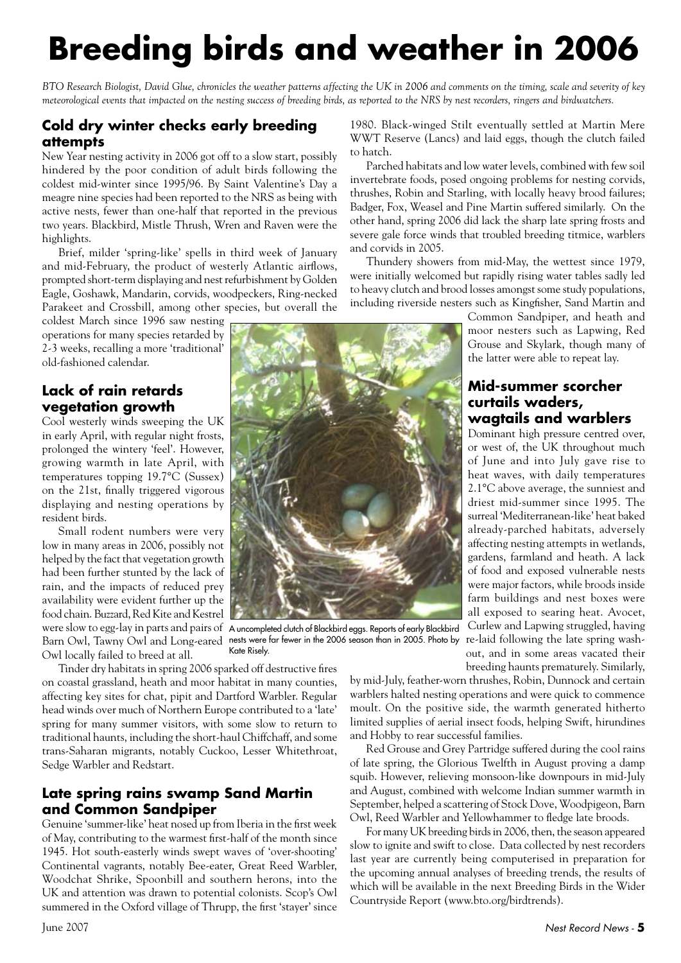# **Breeding birds and weather in 2006**

*BTO Research Biologist, David Glue, chronicles the weather patterns affecting the UK in 2006 and comments on the timing, scale and severity of key meteorological events that impacted on the nesting success of breeding birds, as reported to the NRS by nest recorders, ringers and birdwatchers.*

#### **Cold dry winter checks early breeding attempts**

New Year nesting activity in 2006 got off to a slow start, possibly hindered by the poor condition of adult birds following the coldest mid-winter since 1995/96. By Saint Valentine's Day a meagre nine species had been reported to the NRS as being with active nests, fewer than one-half that reported in the previous two years. Blackbird, Mistle Thrush, Wren and Raven were the highlights.

Brief, milder 'spring-like' spells in third week of January and mid-February, the product of westerly Atlantic airflows, prompted short-term displaying and nest refurbishment by Golden Eagle, Goshawk, Mandarin, corvids, woodpeckers, Ring-necked Parakeet and Crossbill, among other species, but overall the

coldest March since 1996 saw nesting operations for many species retarded by 2-3 weeks, recalling a more 'traditional' old-fashioned calendar.

#### **Lack of rain retards vegetation growth**

Cool westerly winds sweeping the UK in early April, with regular night frosts, prolonged the wintery 'feel'. However, growing warmth in late April, with temperatures topping 19.7°C (Sussex) on the 21st, finally triggered vigorous displaying and nesting operations by resident birds.

Small rodent numbers were very low in many areas in 2006, possibly not helped by the fact that vegetation growth had been further stunted by the lack of rain, and the impacts of reduced prey availability were evident further up the food chain. Buzzard, Red Kite and Kestrel Owl locally failed to breed at all.

were slow to egg-lay in parts and pairs of A uncompleted clutch of Blackbird eggs. Reports of early Blackbird Barn Owl, Tawny Owl and Long-eared nests were far fewer in the 2006 season than in 2005. Photo by Kate Risely.

Tinder dry habitats in spring 2006 sparked off destructive fires on coastal grassland, heath and moor habitat in many counties, affecting key sites for chat, pipit and Dartford Warbler. Regular head winds over much of Northern Europe contributed to a 'late' spring for many summer visitors, with some slow to return to traditional haunts, including the short-haul Chiffchaff, and some trans-Saharan migrants, notably Cuckoo, Lesser Whitethroat, Sedge Warbler and Redstart.

#### **Late spring rains swamp Sand Martin and Common Sandpiper**

Genuine 'summer-like' heat nosed up from Iberia in the first week of May, contributing to the warmest first-half of the month since 1945. Hot south-easterly winds swept waves of 'over-shooting' Continental vagrants, notably Bee-eater, Great Reed Warbler, Woodchat Shrike, Spoonbill and southern herons, into the UK and attention was drawn to potential colonists. Scop's Owl summered in the Oxford village of Thrupp, the first 'stayer' since

1980. Black-winged Stilt eventually settled at Martin Mere WWT Reserve (Lancs) and laid eggs, though the clutch failed to hatch.

Parched habitats and low water levels, combined with few soil invertebrate foods, posed ongoing problems for nesting corvids, thrushes, Robin and Starling, with locally heavy brood failures; Badger, Fox, Weasel and Pine Martin suffered similarly. On the other hand, spring 2006 did lack the sharp late spring frosts and severe gale force winds that troubled breeding titmice, warblers and corvids in 2005.

Thundery showers from mid-May, the wettest since 1979, were initially welcomed but rapidly rising water tables sadly led to heavy clutch and brood losses amongst some study populations, including riverside nesters such as Kingfisher, Sand Martin and

> Common Sandpiper, and heath and moor nesters such as Lapwing, Red Grouse and Skylark, though many of the latter were able to repeat lay.

#### **Mid-summer scorcher curtails waders, wagtails and warblers**

Dominant high pressure centred over. or west of, the UK throughout much of June and into July gave rise to heat waves, with daily temperatures 2.1°C above average, the sunniest and driest mid-summer since 1995. The surreal 'Mediterranean-like' heat baked already-parched habitats, adversely affecting nesting attempts in wetlands, gardens, farmland and heath. A lack of food and exposed vulnerable nests were major factors, while broods inside farm buildings and nest boxes were all exposed to searing heat. Avocet, Curlew and Lapwing struggled, having re-laid following the late spring washout, and in some areas vacated their breeding haunts prematurely. Similarly,

by mid-July, feather-worn thrushes, Robin, Dunnock and certain warblers halted nesting operations and were quick to commence moult. On the positive side, the warmth generated hitherto limited supplies of aerial insect foods, helping Swift, hirundines and Hobby to rear successful families.

Red Grouse and Grey Partridge suffered during the cool rains of late spring, the Glorious Twelfth in August proving a damp squib. However, relieving monsoon-like downpours in mid-July and August, combined with welcome Indian summer warmth in September, helped a scattering of Stock Dove, Woodpigeon, Barn Owl, Reed Warbler and Yellowhammer to fledge late broods.

For many UK breeding birds in 2006, then, the season appeared slow to ignite and swift to close. Data collected by nest recorders last year are currently being computerised in preparation for the upcoming annual analyses of breeding trends, the results of which will be available in the next Breeding Birds in the Wider Countryside Report (www.bto.org/birdtrends).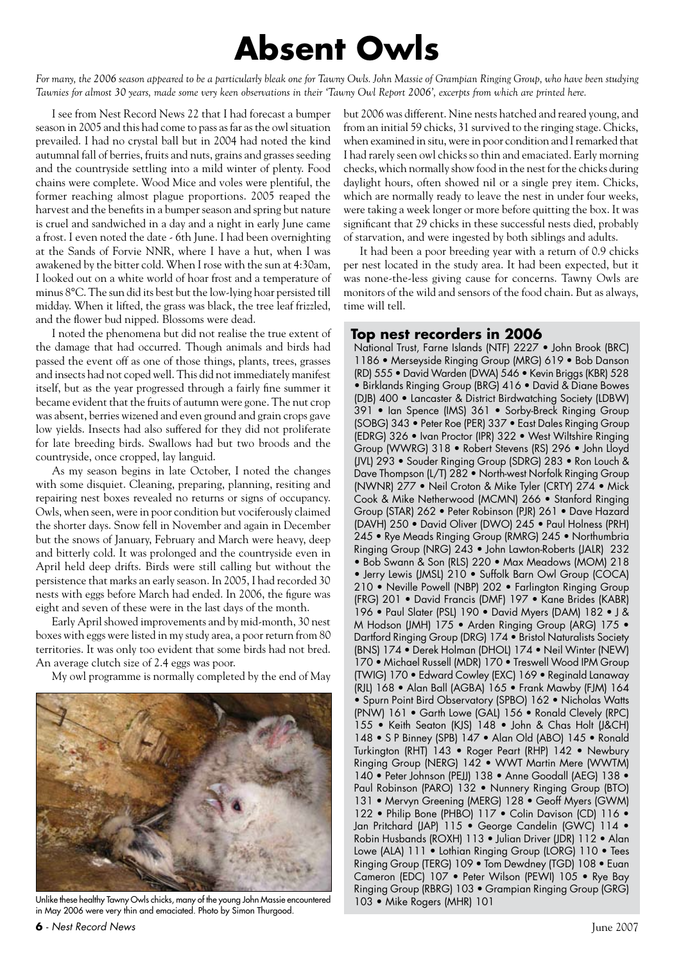### **Absent Owls**

*For many, the 2006 season appeared to be a particularly bleak one for Tawny Owls. John Massie of Grampian Ringing Group, who have been studying Tawnies for almost 30 years, made some very keen observations in their 'Tawny Owl Report 2006', excerpts from which are printed here.*

I see from Nest Record News 22 that I had forecast a bumper season in 2005 and this had come to pass as far as the owl situation prevailed. I had no crystal ball but in 2004 had noted the kind autumnal fall of berries, fruits and nuts, grains and grasses seeding and the countryside settling into a mild winter of plenty. Food chains were complete. Wood Mice and voles were plentiful, the former reaching almost plague proportions. 2005 reaped the harvest and the benefits in a bumper season and spring but nature is cruel and sandwiched in a day and a night in early June came a frost. I even noted the date - 6th June. I had been overnighting at the Sands of Forvie NNR, where I have a hut, when I was awakened by the bitter cold. When I rose with the sun at 4:30am, I looked out on a white world of hoar frost and a temperature of minus 8°C. The sun did its best but the low-lying hoar persisted till midday. When it lifted, the grass was black, the tree leaf frizzled, and the flower bud nipped. Blossoms were dead.

I noted the phenomena but did not realise the true extent of the damage that had occurred. Though animals and birds had passed the event off as one of those things, plants, trees, grasses and insects had not coped well. This did not immediately manifest itself, but as the year progressed through a fairly fine summer it became evident that the fruits of autumn were gone. The nut crop was absent, berries wizened and even ground and grain crops gave low yields. Insects had also suffered for they did not proliferate for late breeding birds. Swallows had but two broods and the countryside, once cropped, lay languid.

As my season begins in late October, I noted the changes with some disquiet. Cleaning, preparing, planning, resiting and repairing nest boxes revealed no returns or signs of occupancy. Owls, when seen, were in poor condition but vociferously claimed the shorter days. Snow fell in November and again in December but the snows of January, February and March were heavy, deep and bitterly cold. It was prolonged and the countryside even in April held deep drifts. Birds were still calling but without the persistence that marks an early season. In 2005, I had recorded 30 nests with eggs before March had ended. In 2006, the figure was eight and seven of these were in the last days of the month.

Early April showed improvements and by mid-month, 30 nest boxes with eggs were listed in my study area, a poor return from 80 territories. It was only too evident that some birds had not bred. An average clutch size of 2.4 eggs was poor.

My owl programme is normally completed by the end of May



Unlike these healthy Tawny Owls chicks, many of the young John Massie encountered 103 • Mike Rogers (MHR) 101 in May 2006 were very thin and emaciated. Photo by Simon Thurgood.

but 2006 was different. Nine nests hatched and reared young, and from an initial 59 chicks, 31 survived to the ringing stage. Chicks, when examined in situ, were in poor condition and I remarked that I had rarely seen owl chicks so thin and emaciated. Early morning checks, which normally show food in the nest for the chicks during daylight hours, often showed nil or a single prey item. Chicks, which are normally ready to leave the nest in under four weeks, were taking a week longer or more before quitting the box. It was significant that 29 chicks in these successful nests died, probably of starvation, and were ingested by both siblings and adults.

It had been a poor breeding year with a return of 0.9 chicks per nest located in the study area. It had been expected, but it was none-the-less giving cause for concerns. Tawny Owls are monitors of the wild and sensors of the food chain. But as always, time will tell.

#### **Top nest recorders in 2006**

National Trust, Farne Islands (NTF) 2227 • John Brook (BRC) 1186 • Merseyside Ringing Group (MRG) 619 • Bob Danson (RD) 555 • David Warden (DWA) 546 • Kevin Briggs (KBR) 528 • Birklands Ringing Group (BRG) 416 • David & Diane Bowes (DJB) 400 • Lancaster & District Birdwatching Society (LDBW) 391 • Ian Spence (IMS) 361 • Sorby-Breck Ringing Group (SOBG) 343 • Peter Roe (PER) 337 • East Dales Ringing Group (EDRG) 326 • Ivan Proctor (IPR) 322 • West Wiltshire Ringing Group (WWRG) 318 • Robert Stevens (RS) 296 • John Lloyd (JVL) 293 • Souder Ringing Group (SDRG) 283 • Ron Louch & Dave Thompson (L/T) 282 • North-west Norfolk Ringing Group (NWNR) 277 • Neil Croton & Mike Tyler (CRTY) 274 • Mick Cook & Mike Netherwood (MCMN) 266 • Stanford Ringing Group (STAR) 262 • Peter Robinson (PJR) 261 • Dave Hazard (DAVH) 250 • David Oliver (DWO) 245 • Paul Holness (PRH) 245 • Rye Meads Ringing Group (RMRG) 245 • Northumbria Ringing Group (NRG) 243 • John Lawton-Roberts (JALR) 232 • Bob Swann & Son (RLS) 220 • Max Meadows (MOM) 218 • Jerry Lewis (JMSL) 210 • Suffolk Barn Owl Group (COCA) 210 • Neville Powell (NBP) 202 • Farlington Ringing Group (FRG) 201 • David Francis (DMF) 197 • Kane Brides (KABR) 196 • Paul Slater (PSL) 190 • David Myers (DAM) 182 • J & M Hodson (JMH) 175 • Arden Ringing Group (ARG) 175 • Dartford Ringing Group (DRG) 174 • Bristol Naturalists Society (BNS) 174 • Derek Holman (DHOL) 174 • Neil Winter (NEW) 170 • Michael Russell (MDR) 170 • Treswell Wood IPM Group (TWIG) 170 • Edward Cowley (EXC) 169 • Reginald Lanaway (RJL) 168 • Alan Ball (AGBA) 165 • Frank Mawby (FJM) 164 • Spurn Point Bird Observatory (SPBO) 162 • Nicholas Watts (PNW) 161 • Garth Lowe (GAL) 156 • Ronald Clevely (RPC) 155 • Keith Seaton (KJS) 148 • John & Chas Holt (J&CH) 148 • S P Binney (SPB) 147 • Alan Old (ABO) 145 • Ronald Turkington (RHT) 143 • Roger Peart (RHP) 142 • Newbury Ringing Group (NERG) 142 • WWT Martin Mere (WWTM) 140 • Peter Johnson (PEJJ) 138 • Anne Goodall (AEG) 138 • Paul Robinson (PARO) 132 • Nunnery Ringing Group (BTO) 131 • Mervyn Greening (MERG) 128 • Geoff Myers (GWM) 122 • Philip Bone (PHBO) 117 • Colin Davison (CD) 116 • Jan Pritchard (JAP) 115 · George Candelin (GWC) 114 · Robin Husbands (ROXH) 113 • Julian Driver (JDR) 112 • Alan Lowe (ALA) 111 • Lothian Ringing Group (LORG) 110 • Tees Ringing Group (TERG) 109 • Tom Dewdney (TGD) 108 • Euan Cameron (EDC) 107 • Peter Wilson (PEWI) 105 • Rye Bay Ringing Group (RBRG) 103 • Grampian Ringing Group (GRG)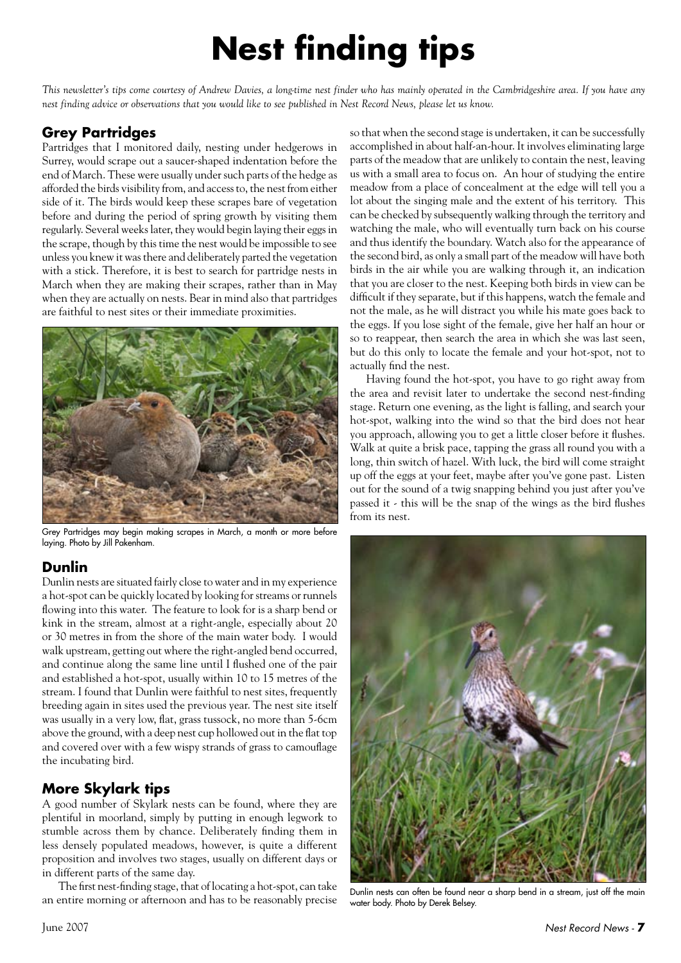# **Nest finding tips**

*This newsletter's tips come courtesy of Andrew Davies, a long-time nest finder who has mainly operated in the Cambridgeshire area. If you have any nest finding advice or observations that you would like to see published in Nest Record News, please let us know.*

#### **Grey Partridges**

Partridges that I monitored daily, nesting under hedgerows in Surrey, would scrape out a saucer-shaped indentation before the end of March. These were usually under such parts of the hedge as afforded the birds visibility from, and access to, the nest from either side of it. The birds would keep these scrapes bare of vegetation before and during the period of spring growth by visiting them regularly. Several weeks later, they would begin laying their eggs in the scrape, though by this time the nest would be impossible to see unless you knew it was there and deliberately parted the vegetation with a stick. Therefore, it is best to search for partridge nests in March when they are making their scrapes, rather than in May when they are actually on nests. Bear in mind also that partridges are faithful to nest sites or their immediate proximities.



Grey Partridges may begin making scrapes in March, a month or more before laying. Photo by Jill Pakenham.

#### **Dunlin**

Dunlin nests are situated fairly close to water and in my experience a hot-spot can be quickly located by looking for streams or runnels flowing into this water. The feature to look for is a sharp bend or kink in the stream, almost at a right-angle, especially about 20 or 30 metres in from the shore of the main water body. I would walk upstream, getting out where the right-angled bend occurred, and continue along the same line until I flushed one of the pair and established a hot-spot, usually within 10 to 15 metres of the stream. I found that Dunlin were faithful to nest sites, frequently breeding again in sites used the previous year. The nest site itself was usually in a very low, flat, grass tussock, no more than 5-6cm above the ground, with a deep nest cup hollowed out in the flat top and covered over with a few wispy strands of grass to camouflage the incubating bird.

#### **More Skylark tips**

A good number of Skylark nests can be found, where they are plentiful in moorland, simply by putting in enough legwork to stumble across them by chance. Deliberately finding them in less densely populated meadows, however, is quite a different proposition and involves two stages, usually on different days or in different parts of the same day.

The first nest-finding stage, that of locating a hot-spot, can take an entire morning or afternoon and has to be reasonably precise so that when the second stage is undertaken, it can be successfully accomplished in about half-an-hour. It involves eliminating large parts of the meadow that are unlikely to contain the nest, leaving us with a small area to focus on. An hour of studying the entire meadow from a place of concealment at the edge will tell you a lot about the singing male and the extent of his territory. This can be checked by subsequently walking through the territory and watching the male, who will eventually turn back on his course and thus identify the boundary. Watch also for the appearance of the second bird, as only a small part of the meadow will have both birds in the air while you are walking through it, an indication that you are closer to the nest. Keeping both birds in view can be difficult if they separate, but if this happens, watch the female and not the male, as he will distract you while his mate goes back to the eggs. If you lose sight of the female, give her half an hour or so to reappear, then search the area in which she was last seen, but do this only to locate the female and your hot-spot, not to actually find the nest.

Having found the hot-spot, you have to go right away from the area and revisit later to undertake the second nest-finding stage. Return one evening, as the light is falling, and search your hot-spot, walking into the wind so that the bird does not hear you approach, allowing you to get a little closer before it flushes. Walk at quite a brisk pace, tapping the grass all round you with a long, thin switch of hazel. With luck, the bird will come straight up off the eggs at your feet, maybe after you've gone past. Listen out for the sound of a twig snapping behind you just after you've passed it - this will be the snap of the wings as the bird flushes from its nest.



Dunlin nests can often be found near a sharp bend in a stream, just off the main water body. Photo by Derek Belsey.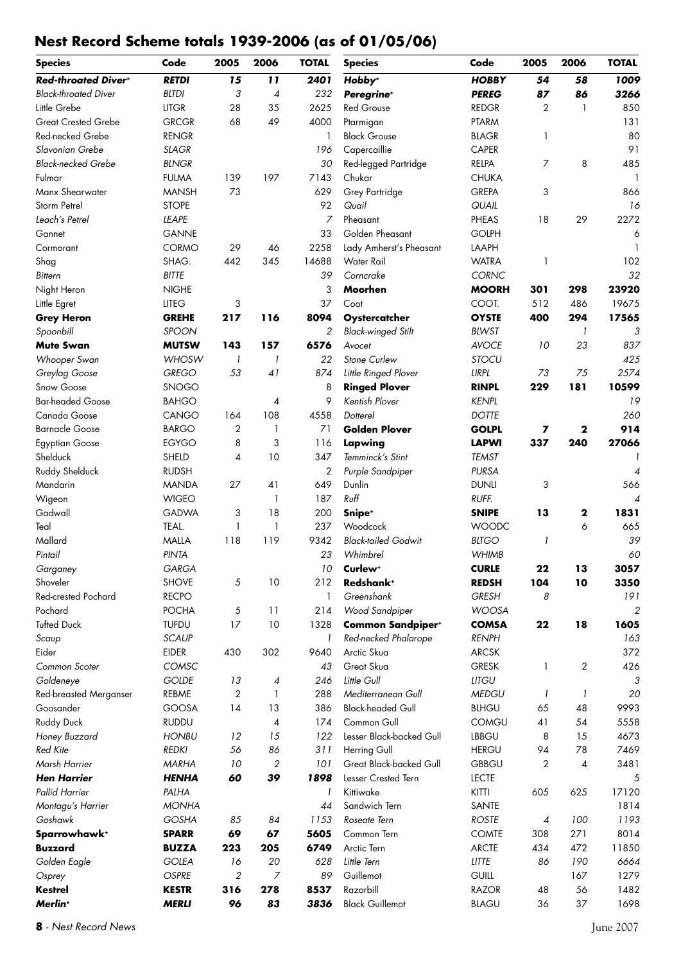#### **Nest Record Scheme totals 1939-2006 (as of 01/05/06)**

| <b>Species</b>                | Code         | 2005           | 2006           | <b>TOTAL</b>   | <b>Species</b>             | Code         | 2005         | 2006         | <b>TOTAL</b>   |
|-------------------------------|--------------|----------------|----------------|----------------|----------------------------|--------------|--------------|--------------|----------------|
| Red-throated Diver+           | <b>RETDI</b> | 15             | 11             | 2401           | Hobby <sup>+</sup>         | <b>HOBBY</b> | 54           | 58           | 1009           |
| <b>Black-throated Diver</b>   | <b>BLTDI</b> | 3              | 4              | 232            | Peregrine <sup>+</sup>     | <b>PEREG</b> | 87           | 86           | 3266           |
| Little Grebe                  | <b>LITGR</b> | 28             | 35             | 2625           | <b>Red Grouse</b>          | <b>REDGR</b> | 2            | $\mathbf{1}$ | 850            |
| <b>Great Crested Grebe</b>    | <b>GRCGR</b> | 68             | 49             | 4000           | Ptarmigan                  | PTARM        |              |              | 131            |
| Red-necked Grebe              | <b>RENGR</b> |                |                | 1              | <b>Black Grouse</b>        | <b>BLAGR</b> | 1            |              | 80             |
| Slavonian Grebe               | <b>SLAGR</b> |                |                | 196            | Capercaillie               | <b>CAPER</b> |              |              | 91             |
| <b>Black-necked Grebe</b>     | <b>BLNGR</b> |                |                | 30             | Red-legged Partridge       | RELPA        | 7            | 8            | 485            |
| Fulmar                        | <b>FULMA</b> | 139            | 197            | 7143           | Chukar                     | <b>CHUKA</b> |              |              | $\mathbf{1}$   |
| Manx Shearwater               | <b>MANSH</b> | 73             |                | 629            | Grey Partridge             | <b>GREPA</b> | 3            |              | 866            |
| Storm Petrel                  | <b>STOPE</b> |                |                | 92             | Quail                      | QUAIL        |              |              | 16             |
| Leach's Petrel                | LEAPE        |                |                | 7              | Pheasant                   | <b>PHEAS</b> | 18           | 29           | 2272           |
| Gannet                        | <b>GANNE</b> |                |                | 33             | Golden Pheasant            | <b>GOLPH</b> |              |              | 6              |
| Cormorant                     | CORMO        | 29             | 46             | 2258           | Lady Amherst's Pheasant    | LAAPH        |              |              | $\mathbf{1}$   |
| Shag                          | SHAG.        | 442            | 345            | 14688          | Water Rail                 | <b>WATRA</b> | $\mathbf{1}$ |              | 102            |
| <b>Bittern</b>                | <b>BITTE</b> |                |                | 39             | Corncrake                  | CORNC        |              |              | 32             |
| Night Heron                   | <b>NIGHE</b> |                |                | 3              | Moorhen                    | <b>MOORH</b> | 301          | 298          | 23920          |
| Little Egret                  | <b>LITEG</b> | 3              |                | 37             | Coot                       | COOT.        | 512          | 486          | 19675          |
| <b>Grey Heron</b>             | <b>GREHE</b> | 217            | 116            | 8094           | Oystercatcher              | <b>OYSTE</b> | 400          | 294          | 17565          |
| Spoonbill                     | <b>SPOON</b> |                |                | $\mathfrak{p}$ | <b>Black-winged Stilt</b>  | <b>BLWST</b> |              | 1            | 3              |
| <b>Mute Swan</b>              | <b>MUTSW</b> | 143            | 157            | 6576           | Avocet                     | <b>AVOCE</b> | 10           | 23           | 837            |
| Whooper Swan                  | <b>WHOSW</b> | $\mathcal{I}$  | $\overline{1}$ | 22             | Stone Curlew               | <b>STOCU</b> |              |              | 425            |
| Greylag Goose                 | <b>GREGO</b> | 53             | 41             | 874            | Little Ringed Plover       | LIRPL        | 73           | 75           | 2574           |
| Snow Goose                    | <b>SNOGO</b> |                |                | 8              | <b>Ringed Plover</b>       | <b>RINPL</b> | 229          | 181          | 10599          |
| <b>Bar-headed Goose</b>       | <b>BAHGO</b> |                | 4              | 9              | Kentish Plover             | <b>KENPL</b> |              |              | 19             |
| Canada Goose                  | CANGO        | 164            | 108            | 4558           | Dotterel                   | <b>DOTTE</b> |              |              | 260            |
| <b>Barnacle Goose</b>         | <b>BARGO</b> | 2              | 1              | 71             | <b>Golden Plover</b>       | <b>GOLPL</b> | 7            | 2            | 914            |
| <b>Egyptian Goose</b>         | <b>EGYGO</b> | 8              | 3              | 116            | Lapwing                    | <b>LAPWI</b> | 337          | 240          | 27066          |
| Shelduck                      | SHELD        | 4              | 10             | 347            | Temminck's Stint           | <b>TEMST</b> |              |              |                |
| Ruddy Shelduck                | <b>RUDSH</b> |                |                | 2              | Purple Sandpiper           | <b>PURSA</b> |              |              | 4              |
| Mandarin                      | <b>MANDA</b> | 27             | 41             | 649            | Dunlin                     | <b>DUNLI</b> | 3            |              | 566            |
| Wigeon                        | <b>WIGEO</b> |                | 1              | 187            | Ruff                       | RUFF.        |              |              | 4              |
| Gadwall                       | <b>GADWA</b> | 3              | 18             | 200            | Snipe <sup>+</sup>         | <b>SNIPE</b> | 13           | $\mathbf 2$  | 1831           |
| Teal                          | TEAL.        | 1              | 1              | 237            | Woodcock                   | <b>WOODC</b> |              | 6            | 665            |
| Mallard                       | <b>MALLA</b> | 118            | 119            | 9342           | <b>Black-tailed Godwit</b> | <b>BLTGO</b> | 1            |              | 39             |
| Pintail                       | PINTA        |                |                | 23             | Whimbrel                   | <b>WHIMB</b> |              |              | 60             |
| Garganey                      | GARGA        |                |                | 10             | Curlew <sup>+</sup>        | <b>CURLE</b> | 22           | 13           | 3057           |
| Shoveler                      | <b>SHOVE</b> | 5              | 10             | 212            | Redshank <sup>+</sup>      | <b>REDSH</b> | 104          | 10           | 3350           |
| <b>Red-crested Pochard</b>    | <b>RECPO</b> |                |                | 1              | Greenshank                 | <b>GRESH</b> | 8            |              | 191            |
| Pochard                       | <b>POCHA</b> | 5              | 11             | 214            | Wood Sandpiper             | <b>WOOSA</b> |              |              | $\overline{2}$ |
| <b>Tufted Duck</b>            | <b>TUFDU</b> | 17             | 10             | 1328           | <b>Common Sandpiper*</b>   | <b>COMSA</b> | 22           | 18           | 1605           |
| Scaup                         | <b>SCAUP</b> |                |                | 1              | Red-necked Phalarope       | <b>RENPH</b> |              |              | 163            |
| Eider                         | <b>EIDER</b> | 430            | 302            | 9640           | Arctic Skua                | <b>ARCSK</b> |              |              | 372            |
| Common Scoter                 | COMSC        |                |                | 43             | Great Skua                 | <b>GRESK</b> | 1            | $\mathbf{2}$ | 426            |
| Goldeneye                     | <b>GOLDE</b> | 13             | 4              | 246            | Little Gull                | <b>LITGU</b> |              |              | 3              |
| <b>Red-breasted Merganser</b> | REBME        | $\overline{2}$ | 1              | 288            | Mediterranean Gull         | <b>MEDGU</b> | 1            | 1            | 20             |
| Goosander                     | <b>GOOSA</b> | 14             | 13             | 386            | <b>Black-headed Gull</b>   | <b>BLHGU</b> | 65           | 48           | 9993           |
| <b>Ruddy Duck</b>             | <b>RUDDU</b> |                | 4              | 174            | Common Gull                | <b>COMGU</b> | 41           | 54           | 5558           |
| Honey Buzzard                 | <b>HONBU</b> | 12             | 15             | 122            | Lesser Black-backed Gull   | <b>LBBGU</b> | 8            | 15           | 4673           |
| Red Kite                      | <b>REDKI</b> | 56             | 86             | 311            | Herring Gull               | <b>HERGU</b> | 94           | 78           | 7469           |
| Marsh Harrier                 | <b>MARHA</b> | 10             | $\overline{2}$ | 101            | Great Black-backed Gull    | <b>GBBGU</b> | 2            | 4            | 3481           |
| <b>Hen Harrier</b>            | <b>HENHA</b> | 60             | 39             | 1898           | Lesser Crested Tern        | <b>LECTE</b> |              |              | 5              |
| Pallid Harrier                | PALHA        |                |                | 1              | Kittiwake                  | <b>KITTI</b> | 605          | 625          | 17120          |
| Montagu's Harrier             | <b>MONHA</b> |                |                | 44             | Sandwich Tern              | SANTE        |              |              | 1814           |
| Goshawk                       | <b>GOSHA</b> | 85             | 84             | 1153           | Roseate Tern               | <b>ROSTE</b> | 4            | 100          | 1193           |
| Sparrowhawk+                  | <b>SPARR</b> | 69             | 67             | 5605           | Common Tern                | <b>COMTE</b> | 308          | 271          | 8014           |
| <b>Buzzard</b>                | <b>BUZZA</b> | 223            | 205            | 6749           | Arctic Tern                | <b>ARCTE</b> | 434          | 472          | 11850          |
| Golden Eagle                  | <b>GOLEA</b> | 16             | 20             | 628            | Little Tern                | <b>LITTE</b> | 86           | 190          | 6664           |
| Osprey                        | <b>OSPRE</b> | $\overline{c}$ | 7              | 89             | Guillemot                  | <b>GUILL</b> |              | 167          | 1279           |
| <b>Kestrel</b>                | <b>KESTR</b> | 316            | 278            | 8537           | Razorbill                  | <b>RAZOR</b> | 48           | 56           | 1482           |
| Merlin <sup>+</sup>           | <b>MERLI</b> | 96             | 83             | 3836           | <b>Black Guillemot</b>     | <b>BLAGU</b> | 36           | 37           | 1698           |
|                               |              |                |                |                |                            |              |              |              |                |

- *Nest Record News* June 2007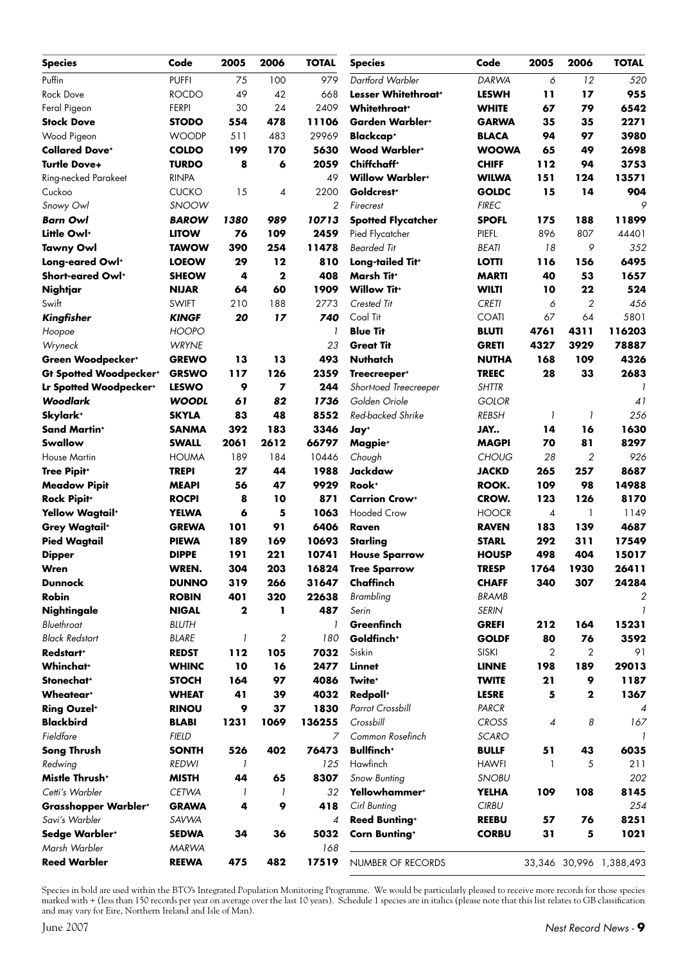| <b>Species</b>                   | Code         | 2005 | 2006           | <b>TOTAL</b>   | <b>Species</b>                  | Code         | 2005 | 2006           | <b>TOTAL</b>            |
|----------------------------------|--------------|------|----------------|----------------|---------------------------------|--------------|------|----------------|-------------------------|
| Puffin                           | <b>PUFFI</b> | 75   | 100            | 979            | Dartford Warbler                | <b>DARWA</b> | 6    | 12             | 520                     |
| <b>Rock Dove</b>                 | <b>ROCDO</b> | 49   | 42             | 668            | Lesser Whitethroat <sup>+</sup> | <b>LESWH</b> | 11   | 17             | 955                     |
| Feral Pigeon                     | <b>FERPI</b> | 30   | 24             | 2409           | <b>Whitethroat</b> *            | <b>WHITE</b> | 67   | 79             | 6542                    |
| <b>Stock Dove</b>                | <b>STODO</b> | 554  | 478            | 11106          | Garden Warbler+                 | <b>GARWA</b> | 35   | 35             | 2271                    |
| Wood Pigeon                      | <b>WOODP</b> | 511  | 483            | 29969          | <b>Blackcap+</b>                | <b>BLACA</b> | 94   | 97             | 3980                    |
| <b>Collared Dove+</b>            | <b>COLDO</b> | 199  | 170            | 5630           | <b>Wood Warblert</b>            | <b>WOOWA</b> | 65   | 49             | 2698                    |
| <b>Turtle Dove+</b>              | <b>TURDO</b> | 8    | 6              | 2059           | Chiffchaff <sup>+</sup>         | <b>CHIFF</b> | 112  | 94             | 3753                    |
| Ring-necked Parakeet             | <b>RINPA</b> |      |                | 49             | <b>Willow Warblert</b>          | <b>WILWA</b> | 151  | 124            | 13571                   |
| Cuckoo                           | <b>CUCKO</b> | 15   | 4              | 2200           | Goldcrest <sup>+</sup>          | <b>GOLDC</b> | 15   | 14             | 904                     |
| Snowy Owl                        | SNOOW        |      |                | $\mathfrak{p}$ | Firecrest                       | <b>FIREC</b> |      |                | 9                       |
| <b>Barn Owl</b>                  | <b>BAROW</b> | 1380 | 989            | 10713          | <b>Spotted Flycatcher</b>       | <b>SPOFL</b> | 175  | 188            | 11899                   |
| Little Owl <sup>+</sup>          | <b>LITOW</b> | 76   | 109            | 2459           | Pied Flycatcher                 | PIEFL        | 896  | 807            | 44401                   |
| <b>Tawny Owl</b>                 | <b>TAWOW</b> | 390  | 254            | 11478          | <b>Bearded Tit</b>              | <b>BEATI</b> | 18   | 9              | 352                     |
| Long-eared Owl+                  | <b>LOEOW</b> | 29   | 12             | 810            | Long-tailed Tit+                | <b>LOTTI</b> | 116  | 156            | 6495                    |
| Short-eared Owl+                 | <b>SHEOW</b> | 4    | $\mathbf{2}$   | 408            | Marsh Tit <sup>+</sup>          | <b>MARTI</b> | 40   | 53             | 1657                    |
| Nightjar                         | <b>NIJAR</b> | 64   | 60             | 1909           | <b>Willow Tit+</b>              | <b>WILTI</b> | 10   | 22             | 524                     |
| Swift                            | <b>SWIFT</b> | 210  | 188            | 2773           | Crested Tit                     | <b>CRETI</b> | 6    | $\overline{2}$ | 456                     |
| Kingfisher                       | <b>KINGF</b> | 20   | 17             | 740            | Coal Tit                        | <b>COATI</b> | 67   | 64             | 5801                    |
| Hoopoe                           | <b>HOOPO</b> |      |                | 1              | <b>Blue Tit</b>                 | <b>BLUTI</b> | 4761 | 4311           | 116203                  |
| Wryneck                          | <b>WRYNE</b> |      |                | 23             | <b>Great Tit</b>                | <b>GRETI</b> | 4327 | 3929           | 78887                   |
| Green Woodpecker+                | <b>GREWO</b> | 13   | 13             | 493            | Nuthatch                        | <b>NUTHA</b> | 168  | 109            | 4326                    |
| <b>Gt Spotted Woodpeckert</b>    | <b>GRSWO</b> | 117  | 126            | 2359           | Treecreeper <sup>+</sup>        | <b>TREEC</b> | 28   | 33             | 2683                    |
| Lr Spotted Woodpecker*           | <b>LESWO</b> | 9    | $\overline{ }$ | 244            | Short-toed Treecreeper          | <b>SHTTR</b> |      |                |                         |
| <b>Woodlark</b>                  | <b>WOODL</b> | 61   | 82             | 1736           | Golden Oriole                   | <b>GOLOR</b> |      |                | 41                      |
| Skylark <sup>+</sup>             | <b>SKYLA</b> | 83   | 48             | 8552           | Red-backed Shrike               | <b>REBSH</b> | 1    | $\overline{1}$ | 256                     |
| <b>Sand Martin*</b>              | <b>SANMA</b> | 392  | 183            | 3346           | Jay+                            | JAY          | 14   | 16             | 1630                    |
| Swallow                          | <b>SWALL</b> | 2061 | 2612           | 66797          | Magpie <sup>+</sup>             | <b>MAGPI</b> | 70   | 81             | 8297                    |
| <b>House Martin</b>              | <b>HOUMA</b> | 189  | 184            | 10446          | Chough                          | <b>CHOUG</b> | 28   | $\mathbf{2}$   | 926                     |
| <b>Tree Pipit*</b>               | <b>TREPI</b> | 27   | 44             | 1988           | Jackdaw                         | <b>JACKD</b> | 265  | 257            | 8687                    |
| <b>Meadow Pipit</b>              | <b>MEAPI</b> | 56   | 47             | 9929           | Rook <sup>+</sup>               | ROOK.        | 109  | 98             | 14988                   |
| <b>Rock Pipit+</b>               | <b>ROCPI</b> | 8    | 10             | 871            | <b>Carrion Crow+</b>            | CROW.        | 123  | 126            | 8170                    |
| <b>Yellow Wagtail</b> *          | <b>YELWA</b> | 6    | 5              | 1063           | <b>Hooded Crow</b>              | <b>HOOCR</b> | 4    | 1              | 1149                    |
| <b>Grey Wagtail</b> <sup>+</sup> | <b>GREWA</b> | 101  | 91             | 6406           | Raven                           | <b>RAVEN</b> | 183  | 139            | 4687                    |
| <b>Pied Wagtail</b>              | <b>PIEWA</b> | 189  | 169            | 10693          | <b>Starling</b>                 | <b>STARL</b> | 292  | 311            | 17549                   |
| <b>Dipper</b>                    | <b>DIPPE</b> | 191  | 221            | 10741          | <b>House Sparrow</b>            | <b>HOUSP</b> | 498  | 404            | 15017                   |
| Wren                             | WREN.        | 304  | 203            | 16824          | <b>Tree Sparrow</b>             | <b>TRESP</b> | 1764 | 1930           | 26411                   |
| <b>Dunnock</b>                   | <b>DUNNO</b> | 319  | 266            | 31647          | Chaffinch                       | <b>CHAFF</b> | 340  | 307            | 24284                   |
| Robin                            | <b>ROBIN</b> | 401  | 320            | 22638          | Brambling                       | <b>BRAMB</b> |      |                | 2                       |
| <b>Nightingale</b>               | <b>NIGAL</b> | 2    | ı              | 487            | Serin                           | <b>SERIN</b> |      |                | $\mathcal{I}$           |
| Bluethroat                       | <b>BLUTH</b> |      |                | 1              | Greenfinch                      | <b>GREFI</b> | 212  | 164            | 15231                   |
| <b>Black Redstart</b>            | <b>BLARE</b> | 1    | 2              | 180            | Goldfinch <sup>+</sup>          | <b>GOLDF</b> | 80   | 76             | 3592                    |
| Redstart <sup>+</sup>            | <b>REDST</b> | 112  | 105            | 7032           | Siskin                          | <b>SISKI</b> | 2    | 2              | 91                      |
| <b>Whinchat</b> *                | <b>WHINC</b> | 10   | 16             | 2477           | Linnet                          | <b>LINNE</b> | 198  | 189            | 29013                   |
| Stonechat <sup>+</sup>           | <b>STOCH</b> | 164  | 97             | 4086           | Twite <sup>+</sup>              | <b>TWITE</b> | 21   | 9              | 1187                    |
| <b>Wheatear</b> <sup>+</sup>     | <b>WHEAT</b> | 41   | 39             | 4032           | Redpoll <sup>+</sup>            | <b>LESRE</b> | 5    | $\mathbf{2}$   | 1367                    |
| <b>Ring Ouzel*</b>               | <b>RINOU</b> | 9    | 37             | 1830           | <b>Parrot Crossbill</b>         | PARCR        |      |                | $\overline{4}$          |
| <b>Blackbird</b>                 | <b>BLABI</b> | 1231 | 1069           | 136255         | Crossbill                       | <b>CROSS</b> | 4    | 8              | 167                     |
| Fieldfare                        | <b>FIELD</b> |      |                | $\overline{z}$ | Common Rosefinch                | <b>SCARO</b> |      |                | $\mathbf{I}$            |
| <b>Song Thrush</b>               | <b>SONTH</b> | 526  | 402            | 76473          | <b>Bullfinch</b> <sup>+</sup>   | <b>BULLF</b> | 51   | 43             | 6035                    |
| Redwing                          | <b>REDWI</b> | 1    |                | 125            | Hawfinch                        | <b>HAWFI</b> |      | 5              | 211                     |
| Mistle Thrush <sup>+</sup>       | <b>MISTH</b> | 44   | 65             | 8307           | Snow Bunting                    | <b>SNOBU</b> |      |                | 202                     |
| Cetti's Warbler                  | <b>CETWA</b> | 1    | 1              | 32             | Yellowhammer <sup>+</sup>       | <b>YELHA</b> | 109  | 108            | 8145                    |
| <b>Grasshopper Warbler*</b>      | <b>GRAWA</b> | 4    | 9              | 418            | Cirl Bunting                    | <b>CIRBU</b> |      |                | 254                     |
| Savi's Warbler                   | SAVWA        |      |                | 4              | <b>Reed Bunting*</b>            | <b>REEBU</b> | 57   | 76             | 8251                    |
| Sedge Warbler*                   | <b>SEDWA</b> | 34   | 36             | 5032           | <b>Corn Bunting*</b>            | <b>CORBU</b> | 31   | 5              | 1021                    |
| Marsh Warbler                    | <b>MARWA</b> |      |                | 168            |                                 |              |      |                |                         |
| <b>Reed Warbler</b>              | <b>REEWA</b> | 475  | 482            | 17519          | NUMBER OF RECORDS               |              |      |                |                         |
|                                  |              |      |                |                |                                 |              |      |                | 33,346 30,996 1,388,493 |

Species in bold are used within the BTO's Integrated Population Monitoring Programme. We would be particularly pleased to receive more records for those species marked with + (less than 150 records per year on average over the last 10 years). Schedule 1 species are in italics (please note that this list relates to GB classification and may vary for Eire, Northern Ireland and Isle of Man).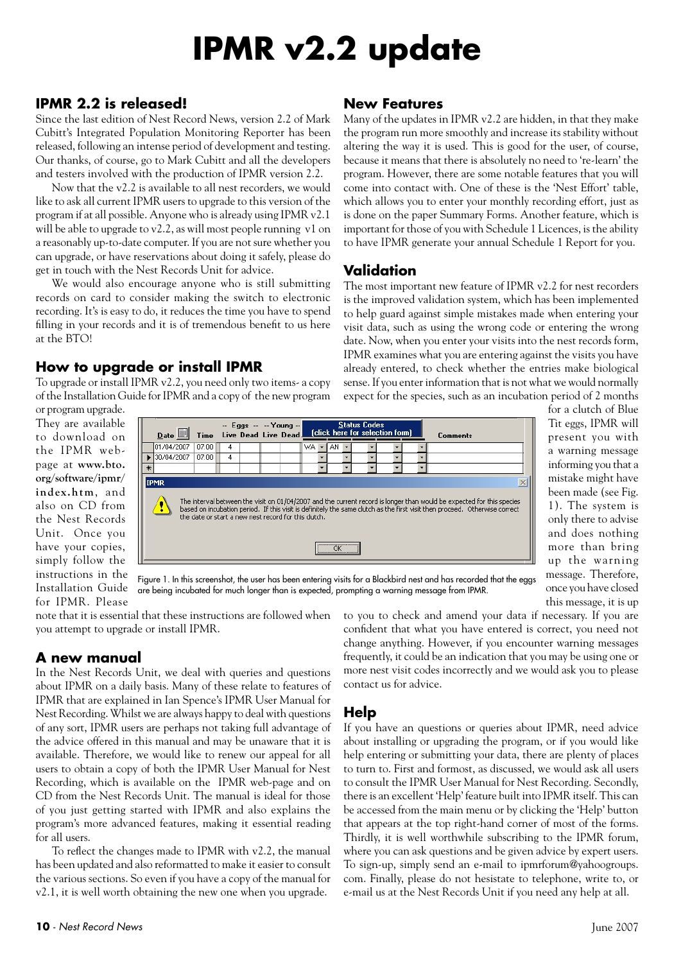### **IPMR v2.2 update**

#### **IPMR 2.2 is released!**

Since the last edition of Nest Record News, version 2.2 of Mark Cubitt's Integrated Population Monitoring Reporter has been released, following an intense period of development and testing. Our thanks, of course, go to Mark Cubitt and all the developers and testers involved with the production of IPMR version 2.2.

Now that the v2.2 is available to all nest recorders, we would like to ask all current IPMR users to upgrade to this version of the program if at all possible. Anyone who is already using IPMR v2.1 will be able to upgrade to v2.2, as will most people running v1 on a reasonably up-to-date computer. If you are not sure whether you can upgrade, or have reservations about doing it safely, please do get in touch with the Nest Records Unit for advice.

We would also encourage anyone who is still submitting records on card to consider making the switch to electronic recording. It's is easy to do, it reduces the time you have to spend filling in your records and it is of tremendous benefit to us here at the BTO!

#### **How to upgrade or install IPMR**

To upgrade or install IPMR v2.2, you need only two items- a copy of the Installation Guide for IPMR and a copy of the new program

#### **New Features**

Many of the updates in IPMR v2.2 are hidden, in that they make the program run more smoothly and increase its stability without altering the way it is used. This is good for the user, of course, because it means that there is absolutely no need to 're-learn' the program. However, there are some notable features that you will come into contact with. One of these is the 'Nest Effort' table, which allows you to enter your monthly recording effort, just as is done on the paper Summary Forms. Another feature, which is important for those of you with Schedule 1 Licences, is the ability to have IPMR generate your annual Schedule 1 Report for you.

#### **Validation**

The most important new feature of IPMR v2.2 for nest recorders is the improved validation system, which has been implemented to help guard against simple mistakes made when entering your visit data, such as using the wrong code or entering the wrong date. Now, when you enter your visits into the nest records form, IPMR examines what you are entering against the visits you have already entered, to check whether the entries make biological sense. If you enter information that is not what we would normally expect for the species, such as an incubation period of 2 months

or program upgrade. They are available to download on the IPMR webpage at **www.bto. org/software/ipmr/ in d ex.h tm**, and also on CD from the Nest Records Unit. Once you have your copies, simply follow the instructions in the Installation Guide for IPMR. Please



more than bring up the warning message. Therefore, once you have closed this message, it is up Figure 1. In this screenshot, the user has been entering visits for a Blackbird nest and has recorded that the eggs are being incubated for much longer than is expected, prompting a warning message from IPMR.

note that it is essential that these instructions are followed when you attempt to upgrade or install IPMR.

#### **A new manual**

In the Nest Records Unit, we deal with queries and questions about IPMR on a daily basis. Many of these relate to features of IPMR that are explained in Ian Spence's IPMR User Manual for Nest Recording. Whilst we are always happy to deal with questions of any sort, IPMR users are perhaps not taking full advantage of the advice offered in this manual and may be unaware that it is available. Therefore, we would like to renew our appeal for all users to obtain a copy of both the IPMR User Manual for Nest Recording, which is available on the IPMR web-page and on CD from the Nest Records Unit. The manual is ideal for those of you just getting started with IPMR and also explains the program's more advanced features, making it essential reading for all users.

To reflect the changes made to IPMR with v2.2, the manual has been updated and also reformatted to make it easier to consult the various sections. So even if you have a copy of the manual for v2.1, it is well worth obtaining the new one when you upgrade.

to you to check and amend your data if necessary. If you are confident that what you have entered is correct, you need not change anything. However, if you encounter warning messages frequently, it could be an indication that you may be using one or more nest visit codes incorrectly and we would ask you to please contact us for advice.

#### **Help**

If you have an questions or queries about IPMR, need advice about installing or upgrading the program, or if you would like help entering or submitting your data, there are plenty of places to turn to. First and formost, as discussed, we would ask all users to consult the IPMR User Manual for Nest Recording. Secondly, there is an excellent 'Help' feature built into IPMR itself. This can be accessed from the main menu or by clicking the 'Help' button that appears at the top right-hand corner of most of the forms. Thirdly, it is well worthwhile subscribing to the IPMR forum, where you can ask questions and be given advice by expert users. To sign-up, simply send an e-mail to ipmrforum@yahoogroups. com. Finally, please do not hesistate to telephone, write to, or e-mail us at the Nest Records Unit if you need any help at all.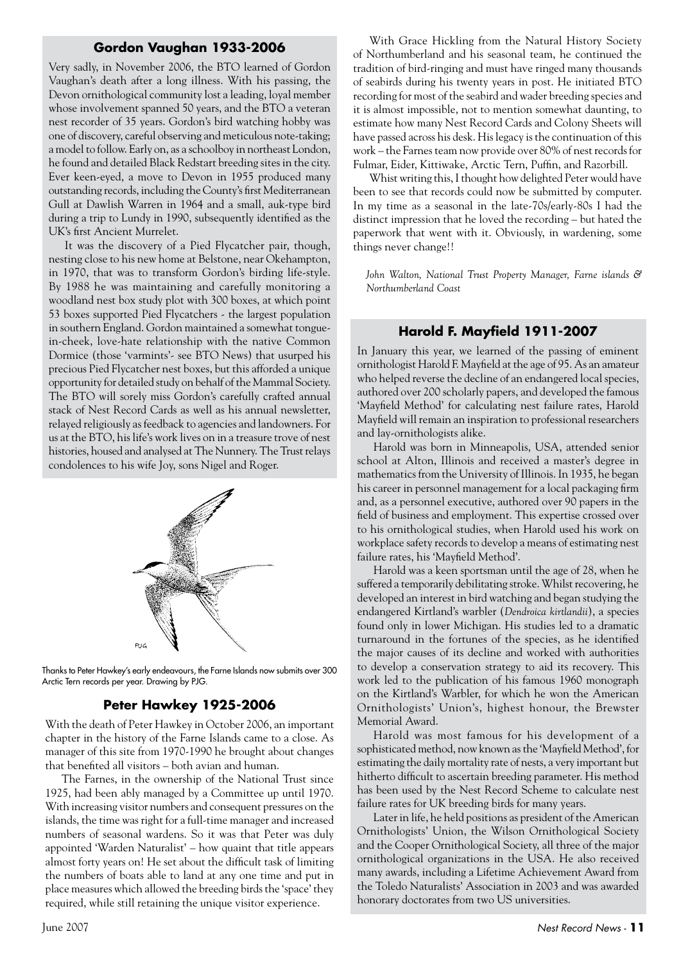#### **Gordon Vaughan 1933-2006**

Very sadly, in November 2006, the BTO learned of Gordon Vaughan's death after a long illness. With his passing, the Devon ornithological community lost a leading, loyal member whose involvement spanned 50 years, and the BTO a veteran nest recorder of 35 years. Gordon's bird watching hobby was one of discovery, careful observing and meticulous note-taking; a model to follow. Early on, as a schoolboy in northeast London, he found and detailed Black Redstart breeding sites in the city. Ever keen-eyed, a move to Devon in 1955 produced many outstanding records, including the County's first Mediterranean Gull at Dawlish Warren in 1964 and a small, auk-type bird during a trip to Lundy in 1990, subsequently identified as the UK's first Ancient Murrelet.

It was the discovery of a Pied Flycatcher pair, though, nesting close to his new home at Belstone, near Okehampton, in 1970, that was to transform Gordon's birding life-style. By 1988 he was maintaining and carefully monitoring a woodland nest box study plot with 300 boxes, at which point 53 boxes supported Pied Flycatchers - the largest population in southern England. Gordon maintained a somewhat tonguein-cheek, love-hate relationship with the native Common Dormice (those 'varmints'- see BTO News) that usurped his precious Pied Flycatcher nest boxes, but this afforded a unique opportunity for detailed study on behalf of the Mammal Society. The BTO will sorely miss Gordon's carefully crafted annual stack of Nest Record Cards as well as his annual newsletter, relayed religiously as feedback to agencies and landowners. For us at the BTO, his life's work lives on in a treasure trove of nest histories, housed and analysed at The Nunnery. The Trust relays condolences to his wife Joy, sons Nigel and Roger.



Thanks to Peter Hawkey's early endeavours, the Farne Islands now submits over 300 Arctic Tern records per year. Drawing by PJG.

#### **Peter Hawkey 1925-2006**

With the death of Peter Hawkey in October 2006, an important chapter in the history of the Farne Islands came to a close. As manager of this site from 1970-1990 he brought about changes that benefited all visitors – both avian and human.

The Farnes, in the ownership of the National Trust since 1925, had been ably managed by a Committee up until 1970. With increasing visitor numbers and consequent pressures on the islands, the time was right for a full-time manager and increased numbers of seasonal wardens. So it was that Peter was duly appointed 'Warden Naturalist' – how quaint that title appears almost forty years on! He set about the difficult task of limiting the numbers of boats able to land at any one time and put in place measures which allowed the breeding birds the 'space' they required, while still retaining the unique visitor experience.

With Grace Hickling from the Natural History Society of Northumberland and his seasonal team, he continued the tradition of bird-ringing and must have ringed many thousands of seabirds during his twenty years in post. He initiated BTO recording for most of the seabird and wader breeding species and it is almost impossible, not to mention somewhat daunting, to estimate how many Nest Record Cards and Colony Sheets will have passed across his desk. His legacy is the continuation of this work – the Farnes team now provide over 80% of nest records for Fulmar, Eider, Kittiwake, Arctic Tern, Puffin, and Razorbill.

Whist writing this, I thought how delighted Peter would have been to see that records could now be submitted by computer. In my time as a seasonal in the late-70s/early-80s I had the distinct impression that he loved the recording – but hated the paperwork that went with it. Obviously, in wardening, some things never change!!

*John Walton, National Trust Property Manager, Farne islands & Northumberland Coast*

#### **Harold F. Mayfield 1911-2007**

In January this year, we learned of the passing of eminent ornithologist Harold F. Mayfield at the age of 95. As an amateur who helped reverse the decline of an endangered local species, authored over 200 scholarly papers, and developed the famous 'Mayfield Method' for calculating nest failure rates, Harold Mayfield will remain an inspiration to professional researchers and lay-ornithologists alike.

Harold was born in Minneapolis, USA, attended senior school at Alton, Illinois and received a master's degree in mathematics from the University of Illinois. In 1935, he began his career in personnel management for a local packaging firm and, as a personnel executive, authored over 90 papers in the field of business and employment. This expertise crossed over to his ornithological studies, when Harold used his work on workplace safety records to develop a means of estimating nest failure rates, his 'Mayfield Method'.

Harold was a keen sportsman until the age of 28, when he suffered a temporarily debilitating stroke. Whilst recovering, he developed an interest in bird watching and began studying the endangered Kirtland's warbler (*Dendroica kirtlandii*), a species found only in lower Michigan. His studies led to a dramatic turnaround in the fortunes of the species, as he identified the major causes of its decline and worked with authorities to develop a conservation strategy to aid its recovery. This work led to the publication of his famous 1960 monograph on the Kirtland's Warbler, for which he won the American Ornithologists' Union's, highest honour, the Brewster Memorial Award.

Harold was most famous for his development of a sophisticated method, now known as the 'Mayfield Method', for estimating the daily mortality rate of nests, a very important but hitherto difficult to ascertain breeding parameter. His method has been used by the Nest Record Scheme to calculate nest failure rates for UK breeding birds for many years.

Later in life, he held positions as president of the American Ornithologists' Union, the Wilson Ornithological Society and the Cooper Ornithological Society, all three of the major ornithological organizations in the USA. He also received many awards, including a Lifetime Achievement Award from the Toledo Naturalists' Association in 2003 and was awarded honorary doctorates from two US universities.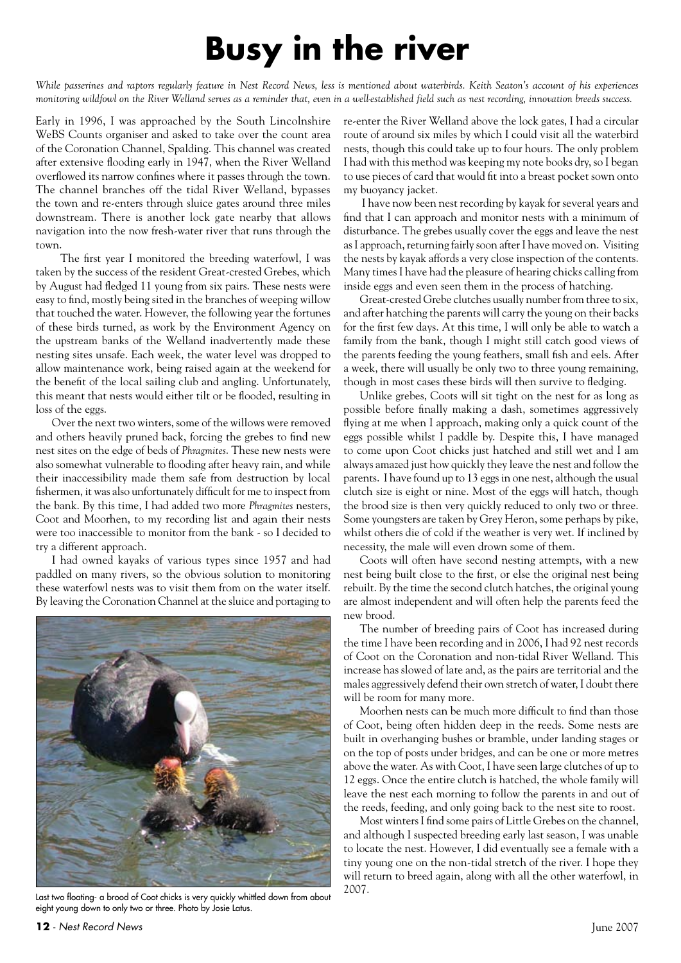### **Busy in the river**

*While passerines and raptors regularly feature in Nest Record News, less is mentioned about waterbirds. Keith Seaton's account of his experiences monitoring wildfowl on the River Welland serves as a reminder that, even in a well-established field such as nest recording, innovation breeds success.*

Early in 1996, I was approached by the South Lincolnshire WeBS Counts organiser and asked to take over the count area of the Coronation Channel, Spalding. This channel was created after extensive flooding early in 1947, when the River Welland overflowed its narrow confines where it passes through the town. The channel branches off the tidal River Welland, bypasses the town and re-enters through sluice gates around three miles downstream. There is another lock gate nearby that allows navigation into the now fresh-water river that runs through the town.

 The first year I monitored the breeding waterfowl, I was taken by the success of the resident Great-crested Grebes, which by August had fledged 11 young from six pairs. These nests were easy to find, mostly being sited in the branches of weeping willow that touched the water. However, the following year the fortunes of these birds turned, as work by the Environment Agency on the upstream banks of the Welland inadvertently made these nesting sites unsafe. Each week, the water level was dropped to allow maintenance work, being raised again at the weekend for the benefit of the local sailing club and angling. Unfortunately, this meant that nests would either tilt or be flooded, resulting in loss of the eggs.

Over the next two winters, some of the willows were removed and others heavily pruned back, forcing the grebes to find new nest sites on the edge of beds of *Phragmites*. These new nests were also somewhat vulnerable to flooding after heavy rain, and while their inaccessibility made them safe from destruction by local fishermen, it was also unfortunately difficult for me to inspect from the bank. By this time, I had added two more *Phragmites* nesters, Coot and Moorhen, to my recording list and again their nests were too inaccessible to monitor from the bank - so I decided to try a different approach.

I had owned kayaks of various types since 1957 and had paddled on many rivers, so the obvious solution to monitoring these waterfowl nests was to visit them from on the water itself. By leaving the Coronation Channel at the sluice and portaging to



Last two floating- a brood of Coot chicks is very quickly whittled down from about eight young down to only two or three. Photo by Josie Latus.

re-enter the River Welland above the lock gates, I had a circular route of around six miles by which I could visit all the waterbird nests, though this could take up to four hours. The only problem I had with this method was keeping my note books dry, so I began to use pieces of card that would fit into a breast pocket sown onto my buoyancy jacket.

 I have now been nest recording by kayak for several years and find that I can approach and monitor nests with a minimum of disturbance. The grebes usually cover the eggs and leave the nest as I approach, returning fairly soon after I have moved on. Visiting the nests by kayak affords a very close inspection of the contents. Many times I have had the pleasure of hearing chicks calling from inside eggs and even seen them in the process of hatching.

Great-crested Grebe clutches usually number from three to six, and after hatching the parents will carry the young on their backs for the first few days. At this time, I will only be able to watch a family from the bank, though I might still catch good views of the parents feeding the young feathers, small fish and eels. After a week, there will usually be only two to three young remaining, though in most cases these birds will then survive to fledging.

Unlike grebes, Coots will sit tight on the nest for as long as possible before finally making a dash, sometimes aggressively flying at me when I approach, making only a quick count of the eggs possible whilst I paddle by. Despite this, I have managed to come upon Coot chicks just hatched and still wet and I am always amazed just how quickly they leave the nest and follow the parents. I have found up to 13 eggs in one nest, although the usual clutch size is eight or nine. Most of the eggs will hatch, though the brood size is then very quickly reduced to only two or three. Some youngsters are taken by Grey Heron, some perhaps by pike, whilst others die of cold if the weather is very wet. If inclined by necessity, the male will even drown some of them.

Coots will often have second nesting attempts, with a new nest being built close to the first, or else the original nest being rebuilt. By the time the second clutch hatches, the original young are almost independent and will often help the parents feed the new brood.

The number of breeding pairs of Coot has increased during the time I have been recording and in 2006, I had 92 nest records of Coot on the Coronation and non-tidal River Welland. This increase has slowed of late and, as the pairs are territorial and the males aggressively defend their own stretch of water, I doubt there will be room for many more.

Moorhen nests can be much more difficult to find than those of Coot, being often hidden deep in the reeds. Some nests are built in overhanging bushes or bramble, under landing stages or on the top of posts under bridges, and can be one or more metres above the water. As with Coot, I have seen large clutches of up to 12 eggs. Once the entire clutch is hatched, the whole family will leave the nest each morning to follow the parents in and out of the reeds, feeding, and only going back to the nest site to roost.

Most winters I find some pairs of Little Grebes on the channel, and although I suspected breeding early last season, I was unable to locate the nest. However, I did eventually see a female with a tiny young one on the non-tidal stretch of the river. I hope they will return to breed again, along with all the other waterfowl, in 2007.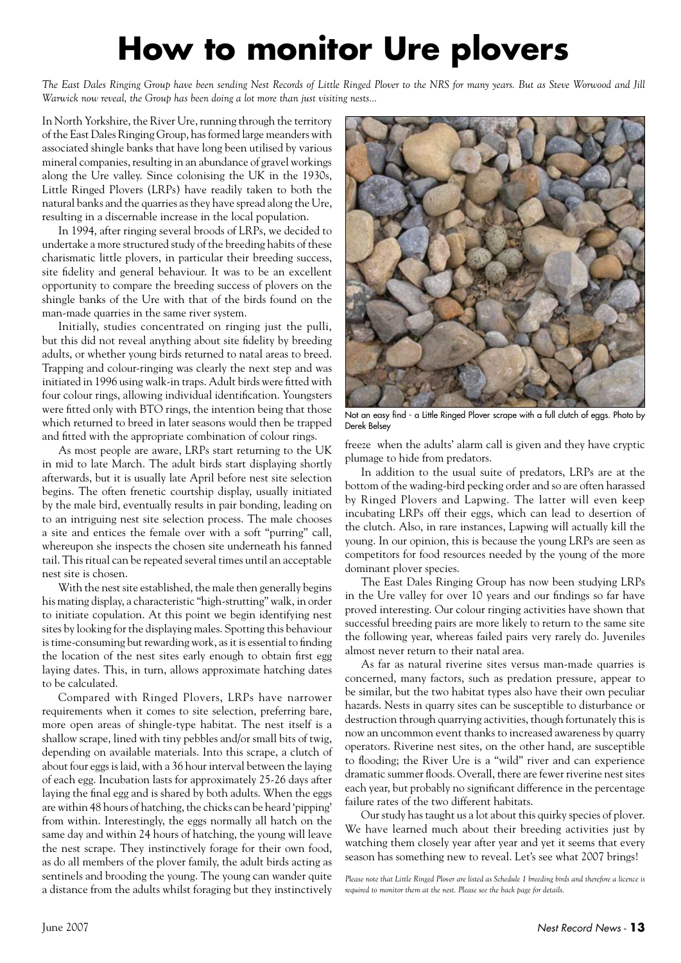### **How to monitor Ure plovers**

*The East Dales Ringing Group have been sending Nest Records of Little Ringed Plover to the NRS for many years. But as Steve Worwood and Jill Warwick now reveal, the Group has been doing a lot more than just visiting nests...*

In North Yorkshire, the River Ure, running through the territory of the East Dales Ringing Group, has formed large meanders with associated shingle banks that have long been utilised by various mineral companies, resulting in an abundance of gravel workings along the Ure valley. Since colonising the UK in the 1930s, Little Ringed Plovers (LRPs) have readily taken to both the natural banks and the quarries as they have spread along the Ure, resulting in a discernable increase in the local population.

In 1994, after ringing several broods of LRPs, we decided to undertake a more structured study of the breeding habits of these charismatic little plovers, in particular their breeding success, site fidelity and general behaviour. It was to be an excellent opportunity to compare the breeding success of plovers on the shingle banks of the Ure with that of the birds found on the man-made quarries in the same river system.

Initially, studies concentrated on ringing just the pulli, but this did not reveal anything about site fidelity by breeding adults, or whether young birds returned to natal areas to breed. Trapping and colour-ringing was clearly the next step and was initiated in 1996 using walk-in traps. Adult birds were fitted with four colour rings, allowing individual identification. Youngsters were fitted only with BTO rings, the intention being that those which returned to breed in later seasons would then be trapped and fitted with the appropriate combination of colour rings.

As most people are aware, LRPs start returning to the UK in mid to late March. The adult birds start displaying shortly afterwards, but it is usually late April before nest site selection begins. The often frenetic courtship display, usually initiated by the male bird, eventually results in pair bonding, leading on to an intriguing nest site selection process. The male chooses a site and entices the female over with a soft "purring" call, whereupon she inspects the chosen site underneath his fanned tail. This ritual can be repeated several times until an acceptable nest site is chosen.

With the nest site established, the male then generally begins his mating display, a characteristic "high-strutting" walk, in order to initiate copulation. At this point we begin identifying nest sites by looking for the displaying males. Spotting this behaviour is time-consuming but rewarding work, as it is essential to finding the location of the nest sites early enough to obtain first egg laying dates. This, in turn, allows approximate hatching dates to be calculated.

Compared with Ringed Plovers, LRPs have narrower requirements when it comes to site selection, preferring bare, more open areas of shingle-type habitat. The nest itself is a shallow scrape, lined with tiny pebbles and/or small bits of twig, depending on available materials. Into this scrape, a clutch of about four eggs is laid, with a 36 hour interval between the laying of each egg. Incubation lasts for approximately 25-26 days after laying the final egg and is shared by both adults. When the eggs are within 48 hours of hatching, the chicks can be heard 'pipping' from within. Interestingly, the eggs normally all hatch on the same day and within 24 hours of hatching, the young will leave the nest scrape. They instinctively forage for their own food, as do all members of the plover family, the adult birds acting as sentinels and brooding the young. The young can wander quite a distance from the adults whilst foraging but they instinctively



Not an easy find - a Little Ringed Plover scrape with a full clutch of eggs. Photo by Derek Belsey

freeze when the adults' alarm call is given and they have cryptic plumage to hide from predators.

In addition to the usual suite of predators, LRPs are at the bottom of the wading-bird pecking order and so are often harassed by Ringed Plovers and Lapwing. The latter will even keep incubating LRPs off their eggs, which can lead to desertion of the clutch. Also, in rare instances, Lapwing will actually kill the young. In our opinion, this is because the young LRPs are seen as competitors for food resources needed by the young of the more dominant plover species.

The East Dales Ringing Group has now been studying LRPs in the Ure valley for over 10 years and our findings so far have proved interesting. Our colour ringing activities have shown that successful breeding pairs are more likely to return to the same site the following year, whereas failed pairs very rarely do. Juveniles almost never return to their natal area.

As far as natural riverine sites versus man-made quarries is concerned, many factors, such as predation pressure, appear to be similar, but the two habitat types also have their own peculiar hazards. Nests in quarry sites can be susceptible to disturbance or destruction through quarrying activities, though fortunately this is now an uncommon event thanks to increased awareness by quarry operators. Riverine nest sites, on the other hand, are susceptible to flooding; the River Ure is a "wild" river and can experience dramatic summer floods. Overall, there are fewer riverine nest sites each year, but probably no significant difference in the percentage failure rates of the two different habitats.

Our study has taught us a lot about this quirky species of plover. We have learned much about their breeding activities just by watching them closely year after year and yet it seems that every season has something new to reveal. Let's see what 2007 brings!

*Please note that Little Ringed Plover are listed as Schedule 1 breeding birds and therefore a licence is required to monitor them at the nest. Please see the back page for details.*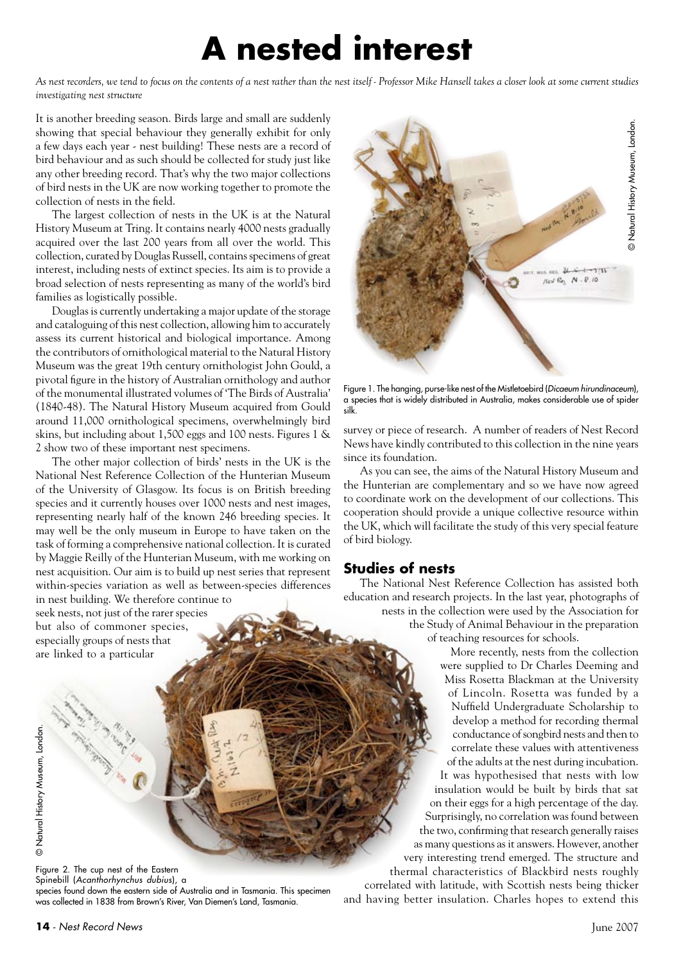### **A nested interest**

*As nest recorders, we tend to focus on the contents of a nest rather than the nest itself - Professor Mike Hansell takes a closer look at some current studies investigating nest structure*

It is another breeding season. Birds large and small are suddenly showing that special behaviour they generally exhibit for only a few days each year - nest building! These nests are a record of bird behaviour and as such should be collected for study just like any other breeding record. That's why the two major collections of bird nests in the UK are now working together to promote the collection of nests in the field.

The largest collection of nests in the UK is at the Natural History Museum at Tring. It contains nearly 4000 nests gradually acquired over the last 200 years from all over the world. This collection, curated by Douglas Russell, contains specimens of great interest, including nests of extinct species. Its aim is to provide a broad selection of nests representing as many of the world's bird families as logistically possible.

Douglas is currently undertaking a major update of the storage and cataloguing of this nest collection, allowing him to accurately assess its current historical and biological importance. Among the contributors of ornithological material to the Natural History Museum was the great 19th century ornithologist John Gould, a pivotal figure in the history of Australian ornithology and author of the monumental illustrated volumes of 'The Birds of Australia' (1840-48). The Natural History Museum acquired from Gould around 11,000 ornithological specimens, overwhelmingly bird skins, but including about 1,500 eggs and 100 nests. Figures 1 & 2 show two of these important nest specimens.

The other major collection of birds' nests in the UK is the National Nest Reference Collection of the Hunterian Museum of the University of Glasgow. Its focus is on British breeding species and it currently houses over 1000 nests and nest images, representing nearly half of the known 246 breeding species. It may well be the only museum in Europe to have taken on the task of forming a comprehensive national collection. It is curated by Maggie Reilly of the Hunterian Museum, with me working on nest acquisition. Our aim is to build up nest series that represent within-species variation as well as between-species differences in nest building. We therefore continue to

seek nests, not just of the rarer species but also of commoner species, especially groups of nests that are linked to a particular



Figure 1. The hanging, purse-like nest of the Mistletoebird (*Dicaeum hirundinaceum*), a species that is widely distributed in Australia, makes considerable use of spider silk.

survey or piece of research. A number of readers of Nest Record News have kindly contributed to this collection in the nine years since its foundation.

As you can see, the aims of the Natural History Museum and the Hunterian are complementary and so we have now agreed to coordinate work on the development of our collections. This cooperation should provide a unique collective resource within the UK, which will facilitate the study of this very special feature of bird biology.

#### **Studies of nests**

The National Nest Reference Collection has assisted both education and research projects. In the last year, photographs of nests in the collection were used by the Association for the Study of Animal Behaviour in the preparation of teaching resources for schools.

More recently, nests from the collection were supplied to Dr Charles Deeming and Miss Rosetta Blackman at the University of Lincoln. Rosetta was funded by a Nuffield Undergraduate Scholarship to develop a method for recording thermal conductance of songbird nests and then to correlate these values with attentiveness of the adults at the nest during incubation. It was hypothesised that nests with low

insulation would be built by birds that sat on their eggs for a high percentage of the day. Surprisingly, no correlation was found between the two, confirming that research generally raises as many questions as it answers. However, another very interesting trend emerged. The structure and thermal characteristics of Blackbird nests roughly

correlated with latitude, with Scottish nests being thicker and having better insulation. Charles hopes to extend this

Figure 2. The cup nest of the Eastern Spinebill (*Acanthorhynchus dubius*), a species found down the eastern side of Australia and in Tasmania. This specimen was collected in 1838 from Brown's River, Van Diemen's Land, Tasmania.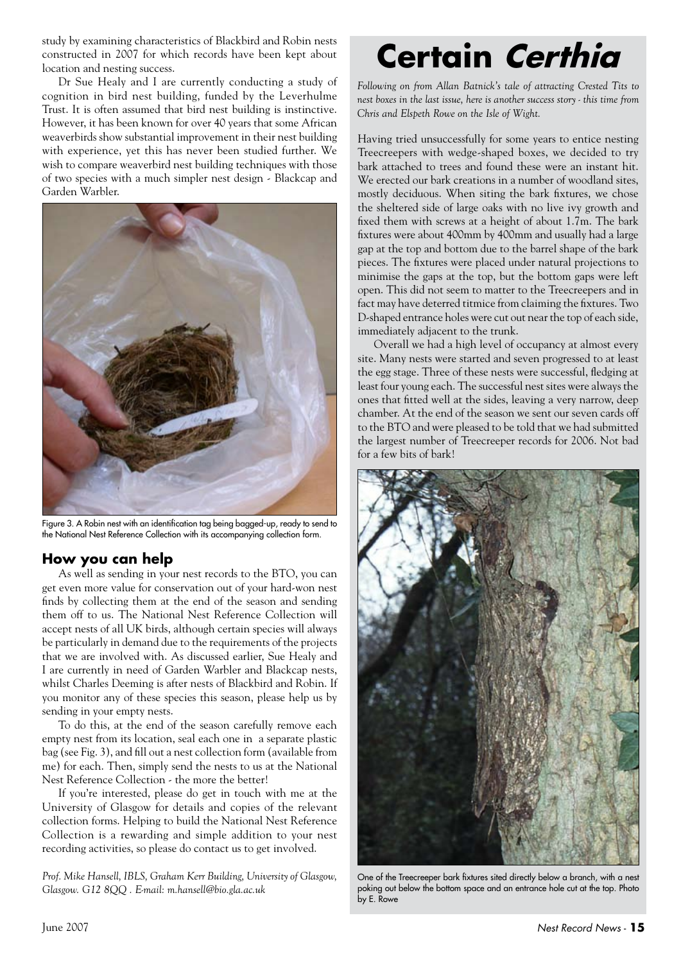study by examining characteristics of Blackbird and Robin nests constructed in 2007 for which records have been kept about location and nesting success.

Dr Sue Healy and I are currently conducting a study of cognition in bird nest building, funded by the Leverhulme Trust. It is often assumed that bird nest building is instinctive. However, it has been known for over 40 years that some African weaverbirds show substantial improvement in their nest building with experience, yet this has never been studied further. We wish to compare weaverbird nest building techniques with those of two species with a much simpler nest design - Blackcap and Garden Warbler.



Figure 3. A Robin nest with an identification tag being bagged-up, ready to send to the National Nest Reference Collection with its accompanying collection form.

#### **How you can help**

As well as sending in your nest records to the BTO, you can get even more value for conservation out of your hard-won nest finds by collecting them at the end of the season and sending them off to us. The National Nest Reference Collection will accept nests of all UK birds, although certain species will always be particularly in demand due to the requirements of the projects that we are involved with. As discussed earlier, Sue Healy and I are currently in need of Garden Warbler and Blackcap nests, whilst Charles Deeming is after nests of Blackbird and Robin. If you monitor any of these species this season, please help us by sending in your empty nests.

To do this, at the end of the season carefully remove each empty nest from its location, seal each one in a separate plastic bag (see Fig. 3), and fill out a nest collection form (available from me) for each. Then, simply send the nests to us at the National Nest Reference Collection - the more the better!

If you're interested, please do get in touch with me at the University of Glasgow for details and copies of the relevant collection forms. Helping to build the National Nest Reference Collection is a rewarding and simple addition to your nest recording activities, so please do contact us to get involved.

*Prof. Mike Hansell, IBLS, Graham Kerr Building, University of Glasgow, Glasgow. G12 8QQ . E-mail: m.hansell@bio.gla.ac.uk*

# **Certain Certhia**

*Following on from Allan Batnick's tale of attracting Crested Tits to nest boxes in the last issue, here is another success story - this time from Chris and Elspeth Rowe on the Isle of Wight.*

Having tried unsuccessfully for some years to entice nesting Treecreepers with wedge-shaped boxes, we decided to try bark attached to trees and found these were an instant hit. We erected our bark creations in a number of woodland sites, mostly deciduous. When siting the bark fixtures, we chose the sheltered side of large oaks with no live ivy growth and fixed them with screws at a height of about 1.7m. The bark fixtures were about 400mm by 400mm and usually had a large gap at the top and bottom due to the barrel shape of the bark pieces. The fixtures were placed under natural projections to minimise the gaps at the top, but the bottom gaps were left open. This did not seem to matter to the Treecreepers and in fact may have deterred titmice from claiming the fixtures. Two D-shaped entrance holes were cut out near the top of each side, immediately adjacent to the trunk.

Overall we had a high level of occupancy at almost every site. Many nests were started and seven progressed to at least the egg stage. Three of these nests were successful, fledging at least four young each. The successful nest sites were always the ones that fitted well at the sides, leaving a very narrow, deep chamber. At the end of the season we sent our seven cards off to the BTO and were pleased to be told that we had submitted the largest number of Treecreeper records for 2006. Not bad for a few bits of bark!



One of the Treecreeper bark fixtures sited directly below a branch, with a nest poking out below the bottom space and an entrance hole cut at the top. Photo by E. Rowe